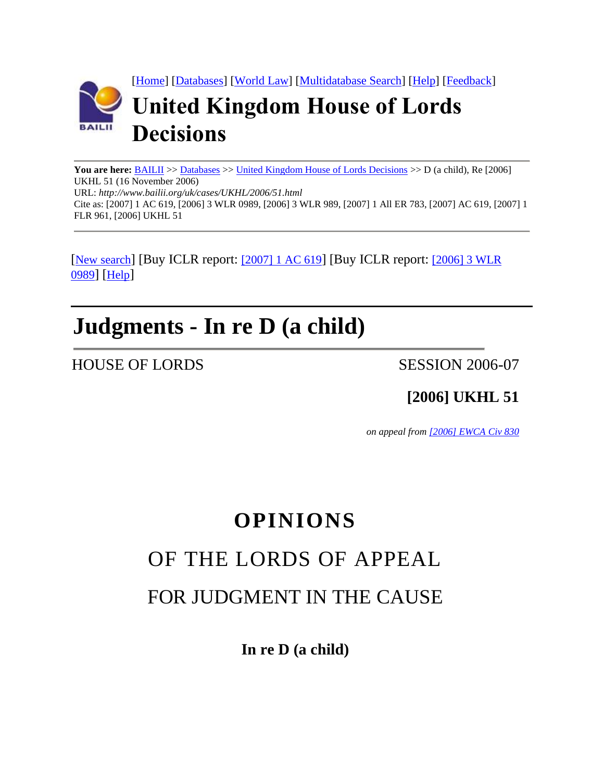

You are here: **[BAILII](http://www.bailii.org/)** >> [Databases](http://www.bailii.org/databases.html) >> [United Kingdom House of Lords Decisions](http://www.bailii.org/uk/cases/UKHL/) >> D (a child), Re [2006] UKHL 51 (16 November 2006) URL: *http://www.bailii.org/uk/cases/UKHL/2006/51.html* Cite as: [2007] 1 AC 619, [2006] 3 WLR 0989, [2006] 3 WLR 989, [2007] 1 All ER 783, [2007] AC 619, [2007] 1 FLR 961, [2006] UKHL 51

[[New search](http://www.bailii.org/form/search_cases.html)] [Buy ICLR report: [\[2007\] 1 AC 619](https://shop.iclr.co.uk/Subscr/welcome.aspx?docId=XAC2007-1-619)] [Buy ICLR report: [\[2006\] 3 WLR](https://shop.iclr.co.uk/Subscr/welcome.aspx?docId=XWLR2006-3-0989)  [0989](https://shop.iclr.co.uk/Subscr/welcome.aspx?docId=XWLR2006-3-0989)] [[Help](http://www.bailii.org/bailii/help/)]

# **Judgments - In re D (a child)**

# HOUSE OF LORDS SESSION 2006-07

# **[2006] UKHL 51**

*on appeal from [\[2006\] EWCA Civ 830](http://www.bailii.org/ew/cases/EWCA/Civ/2006/830.html)*

# **OPINIONS**

# OF THE LORDS OF APPEAL

# FOR JUDGMENT IN THE CAUSE

**In re D (a child)**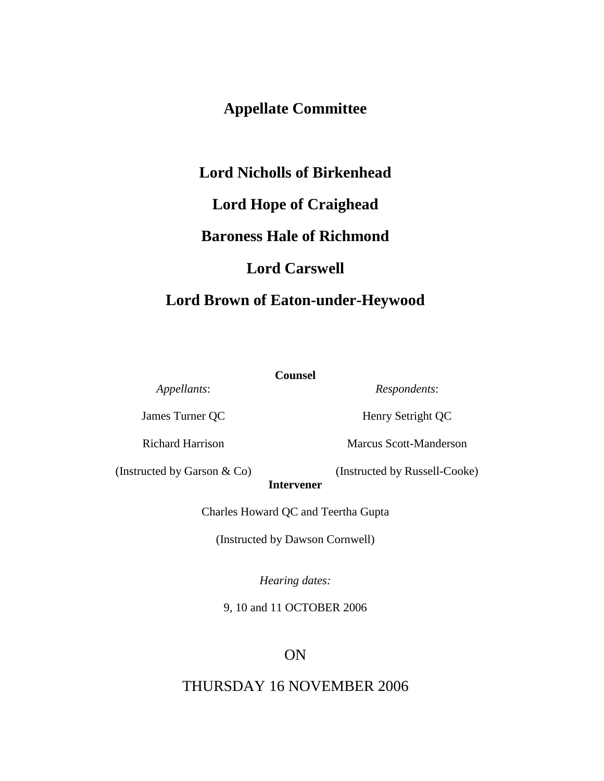# **Appellate Committee**

# **Lord Nicholls of Birkenhead Lord Hope of Craighead Baroness Hale of Richmond Lord Carswell Lord Brown of Eaton-under-Heywood**

# *Appellants*:

*Respondents*:

Henry Setright QC

James Turner QC

Richard Harrison

Marcus Scott-Manderson (Instructed by Russell-Cooke)

(Instructed by Garson & Co)

**Intervener**

**Counsel**

Charles Howard QC and Teertha Gupta

(Instructed by Dawson Cornwell)

*Hearing dates:*

9, 10 and 11 OCTOBER 2006

## ON

# THURSDAY 16 NOVEMBER 2006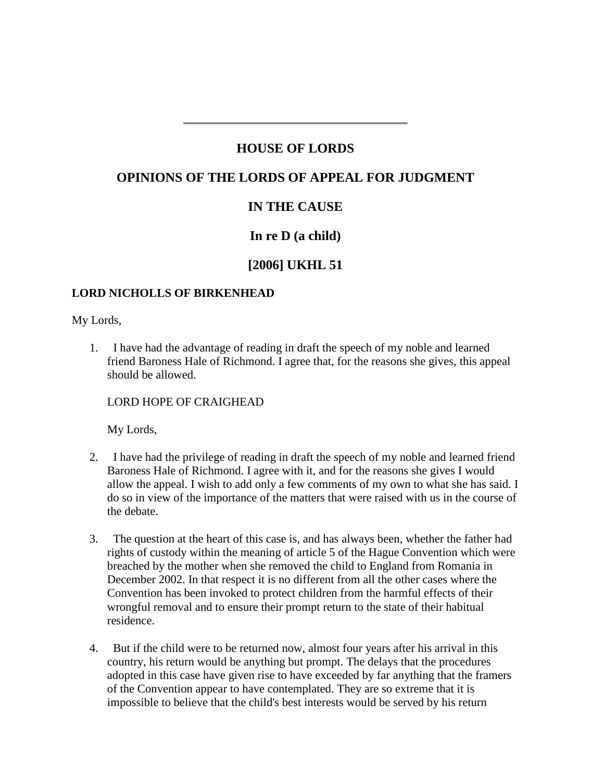# **HOUSE OF LORDS**

## **OPINIONS OF THE LORDS OF APPEAL FOR JUDGMENT**

## **IN THE CAUSE**

# **In re D (a child)**

# **[2006] UKHL 51**

### **LORD NICHOLLS OF BIRKENHEAD**

My Lords,

1. I have had the advantage of reading in draft the speech of my noble and learned friend Baroness Hale of Richmond. I agree that, for the reasons she gives, this appeal should be allowed.

LORD HOPE OF CRAIGHEAD

My Lords,

- 2. I have had the privilege of reading in draft the speech of my noble and learned friend Baroness Hale of Richmond. I agree with it, and for the reasons she gives I would allow the appeal. I wish to add only a few comments of my own to what she has said. I do so in view of the importance of the matters that were raised with us in the course of the debate.
- 3. The question at the heart of this case is, and has always been, whether the father had rights of custody within the meaning of article 5 of the Hague Convention which were breached by the mother when she removed the child to England from Romania in December 2002. In that respect it is no different from all the other cases where the Convention has been invoked to protect children from the harmful effects of their wrongful removal and to ensure their prompt return to the state of their habitual residence.
- 4. But if the child were to be returned now, almost four years after his arrival in this country, his return would be anything but prompt. The delays that the procedures adopted in this case have given rise to have exceeded by far anything that the framers of the Convention appear to have contemplated. They are so extreme that it is impossible to believe that the child's best interests would be served by his return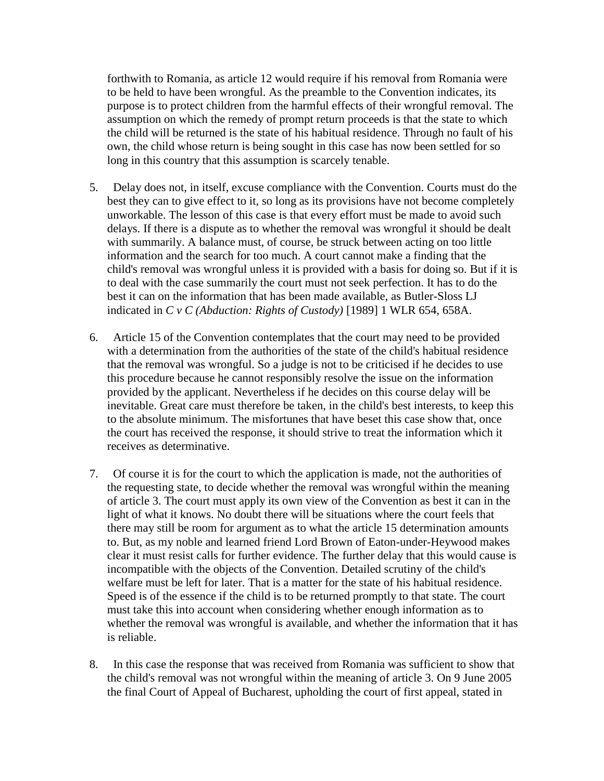forthwith to Romania, as article 12 would require if his removal from Romania were to be held to have been wrongful. As the preamble to the Convention indicates, its purpose is to protect children from the harmful effects of their wrongful removal. The assumption on which the remedy of prompt return proceeds is that the state to which the child will be returned is the state of his habitual residence. Through no fault of his own, the child whose return is being sought in this case has now been settled for so long in this country that this assumption is scarcely tenable.

- 5. Delay does not, in itself, excuse compliance with the Convention. Courts must do the best they can to give effect to it, so long as its provisions have not become completely unworkable. The lesson of this case is that every effort must be made to avoid such delays. If there is a dispute as to whether the removal was wrongful it should be dealt with summarily. A balance must, of course, be struck between acting on too little information and the search for too much. A court cannot make a finding that the child's removal was wrongful unless it is provided with a basis for doing so. But if it is to deal with the case summarily the court must not seek perfection. It has to do the best it can on the information that has been made available, as Butler-Sloss LJ indicated in *C v C (Abduction: Rights of Custody)* [1989] 1 WLR 654, 658A.
- 6. Article 15 of the Convention contemplates that the court may need to be provided with a determination from the authorities of the state of the child's habitual residence that the removal was wrongful. So a judge is not to be criticised if he decides to use this procedure because he cannot responsibly resolve the issue on the information provided by the applicant. Nevertheless if he decides on this course delay will be inevitable. Great care must therefore be taken, in the child's best interests, to keep this to the absolute minimum. The misfortunes that have beset this case show that, once the court has received the response, it should strive to treat the information which it receives as determinative.
- 7. Of course it is for the court to which the application is made, not the authorities of the requesting state, to decide whether the removal was wrongful within the meaning of article 3. The court must apply its own view of the Convention as best it can in the light of what it knows. No doubt there will be situations where the court feels that there may still be room for argument as to what the article 15 determination amounts to. But, as my noble and learned friend Lord Brown of Eaton-under-Heywood makes clear it must resist calls for further evidence. The further delay that this would cause is incompatible with the objects of the Convention. Detailed scrutiny of the child's welfare must be left for later. That is a matter for the state of his habitual residence. Speed is of the essence if the child is to be returned promptly to that state. The court must take this into account when considering whether enough information as to whether the removal was wrongful is available, and whether the information that it has is reliable.
- 8. In this case the response that was received from Romania was sufficient to show that the child's removal was not wrongful within the meaning of article 3. On 9 June 2005 the final Court of Appeal of Bucharest, upholding the court of first appeal, stated in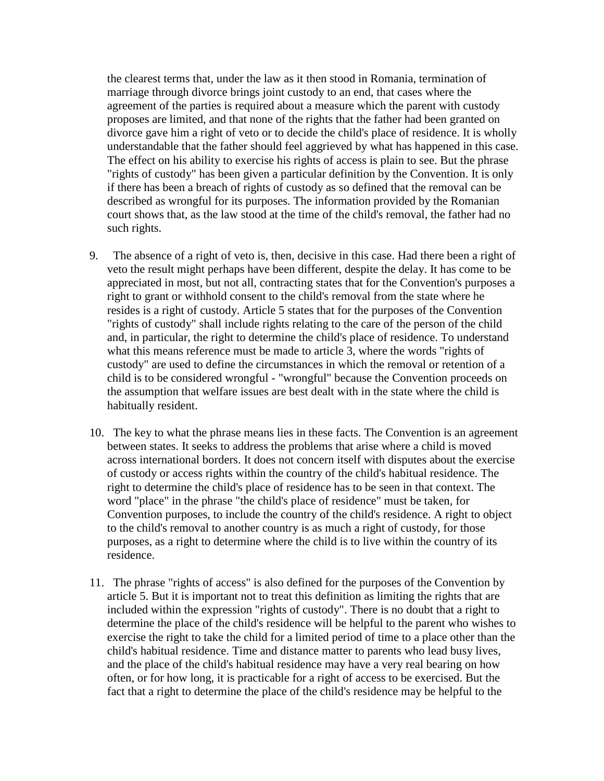the clearest terms that, under the law as it then stood in Romania, termination of marriage through divorce brings joint custody to an end, that cases where the agreement of the parties is required about a measure which the parent with custody proposes are limited, and that none of the rights that the father had been granted on divorce gave him a right of veto or to decide the child's place of residence. It is wholly understandable that the father should feel aggrieved by what has happened in this case. The effect on his ability to exercise his rights of access is plain to see. But the phrase "rights of custody" has been given a particular definition by the Convention. It is only if there has been a breach of rights of custody as so defined that the removal can be described as wrongful for its purposes. The information provided by the Romanian court shows that, as the law stood at the time of the child's removal, the father had no such rights.

- 9. The absence of a right of veto is, then, decisive in this case. Had there been a right of veto the result might perhaps have been different, despite the delay. It has come to be appreciated in most, but not all, contracting states that for the Convention's purposes a right to grant or withhold consent to the child's removal from the state where he resides is a right of custody. Article 5 states that for the purposes of the Convention "rights of custody" shall include rights relating to the care of the person of the child and, in particular, the right to determine the child's place of residence. To understand what this means reference must be made to article 3, where the words "rights of custody" are used to define the circumstances in which the removal or retention of a child is to be considered wrongful - "wrongful" because the Convention proceeds on the assumption that welfare issues are best dealt with in the state where the child is habitually resident.
- 10. The key to what the phrase means lies in these facts. The Convention is an agreement between states. It seeks to address the problems that arise where a child is moved across international borders. It does not concern itself with disputes about the exercise of custody or access rights within the country of the child's habitual residence. The right to determine the child's place of residence has to be seen in that context. The word "place" in the phrase "the child's place of residence" must be taken, for Convention purposes, to include the country of the child's residence. A right to object to the child's removal to another country is as much a right of custody, for those purposes, as a right to determine where the child is to live within the country of its residence.
- 11. The phrase "rights of access" is also defined for the purposes of the Convention by article 5. But it is important not to treat this definition as limiting the rights that are included within the expression "rights of custody". There is no doubt that a right to determine the place of the child's residence will be helpful to the parent who wishes to exercise the right to take the child for a limited period of time to a place other than the child's habitual residence. Time and distance matter to parents who lead busy lives, and the place of the child's habitual residence may have a very real bearing on how often, or for how long, it is practicable for a right of access to be exercised. But the fact that a right to determine the place of the child's residence may be helpful to the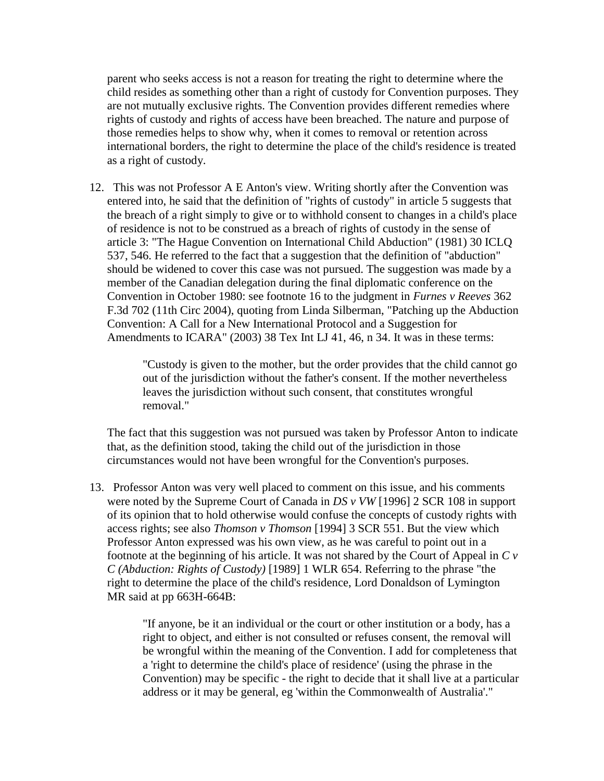parent who seeks access is not a reason for treating the right to determine where the child resides as something other than a right of custody for Convention purposes. They are not mutually exclusive rights. The Convention provides different remedies where rights of custody and rights of access have been breached. The nature and purpose of those remedies helps to show why, when it comes to removal or retention across international borders, the right to determine the place of the child's residence is treated as a right of custody.

12. This was not Professor A E Anton's view. Writing shortly after the Convention was entered into, he said that the definition of "rights of custody" in article 5 suggests that the breach of a right simply to give or to withhold consent to changes in a child's place of residence is not to be construed as a breach of rights of custody in the sense of article 3: "The Hague Convention on International Child Abduction" (1981) 30 ICLQ 537, 546. He referred to the fact that a suggestion that the definition of "abduction" should be widened to cover this case was not pursued. The suggestion was made by a member of the Canadian delegation during the final diplomatic conference on the Convention in October 1980: see footnote 16 to the judgment in *Furnes v Reeves* 362 F.3d 702 (11th Circ 2004), quoting from Linda Silberman, "Patching up the Abduction Convention: A Call for a New International Protocol and a Suggestion for Amendments to ICARA" (2003) 38 Tex Int LJ 41, 46, n 34. It was in these terms:

> "Custody is given to the mother, but the order provides that the child cannot go out of the jurisdiction without the father's consent. If the mother nevertheless leaves the jurisdiction without such consent, that constitutes wrongful removal."

The fact that this suggestion was not pursued was taken by Professor Anton to indicate that, as the definition stood, taking the child out of the jurisdiction in those circumstances would not have been wrongful for the Convention's purposes.

13. Professor Anton was very well placed to comment on this issue, and his comments were noted by the Supreme Court of Canada in *DS v VW* [1996] 2 SCR 108 in support of its opinion that to hold otherwise would confuse the concepts of custody rights with access rights; see also *Thomson v Thomson* [1994] 3 SCR 551. But the view which Professor Anton expressed was his own view, as he was careful to point out in a footnote at the beginning of his article. It was not shared by the Court of Appeal in *C v C (Abduction: Rights of Custody)* [1989] 1 WLR 654. Referring to the phrase "the right to determine the place of the child's residence, Lord Donaldson of Lymington MR said at pp 663H-664B:

> "If anyone, be it an individual or the court or other institution or a body, has a right to object, and either is not consulted or refuses consent, the removal will be wrongful within the meaning of the Convention. I add for completeness that a 'right to determine the child's place of residence' (using the phrase in the Convention) may be specific - the right to decide that it shall live at a particular address or it may be general, eg 'within the Commonwealth of Australia'."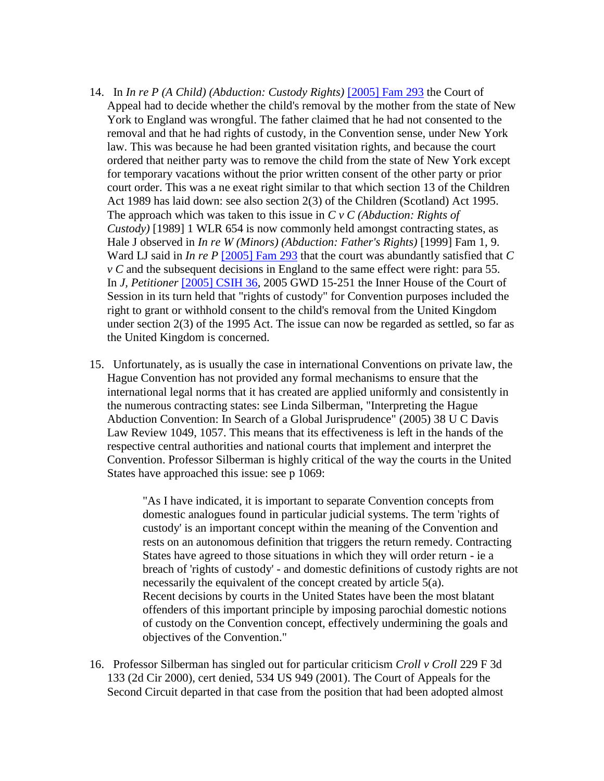- 14. In *In re P (A Child) (Abduction: Custody Rights)* [\[2005\] Fam 293](http://www.bailii.org/ew/cases/EWCA/Civ/2004/971.html) the Court of Appeal had to decide whether the child's removal by the mother from the state of New York to England was wrongful. The father claimed that he had not consented to the removal and that he had rights of custody, in the Convention sense, under New York law. This was because he had been granted visitation rights, and because the court ordered that neither party was to remove the child from the state of New York except for temporary vacations without the prior written consent of the other party or prior court order. This was a ne exeat right similar to that which section 13 of the Children Act 1989 has laid down: see also section 2(3) of the Children (Scotland) Act 1995. The approach which was taken to this issue in *C v C (Abduction: Rights of Custody)* [1989] 1 WLR 654 is now commonly held amongst contracting states, as Hale J observed in *In re W (Minors) (Abduction: Father's Rights)* [1999] Fam 1, 9. Ward LJ said in *In re P* [\[2005\] Fam 293](http://www.bailii.org/ew/cases/EWCA/Civ/2004/971.html) that the court was abundantly satisfied that *C v C* and the subsequent decisions in England to the same effect were right: para 55. In *J, Petitioner* [\[2005\] CSIH 36,](http://www.bailii.org/scot/cases/ScotCS/2005/CSIH_36.html) 2005 GWD 15-251 the Inner House of the Court of Session in its turn held that "rights of custody" for Convention purposes included the right to grant or withhold consent to the child's removal from the United Kingdom under section 2(3) of the 1995 Act. The issue can now be regarded as settled, so far as the United Kingdom is concerned.
- 15. Unfortunately, as is usually the case in international Conventions on private law, the Hague Convention has not provided any formal mechanisms to ensure that the international legal norms that it has created are applied uniformly and consistently in the numerous contracting states: see Linda Silberman, "Interpreting the Hague Abduction Convention: In Search of a Global Jurisprudence" (2005) 38 U C Davis Law Review 1049, 1057. This means that its effectiveness is left in the hands of the respective central authorities and national courts that implement and interpret the Convention. Professor Silberman is highly critical of the way the courts in the United States have approached this issue: see p 1069:

"As I have indicated, it is important to separate Convention concepts from domestic analogues found in particular judicial systems. The term 'rights of custody' is an important concept within the meaning of the Convention and rests on an autonomous definition that triggers the return remedy. Contracting States have agreed to those situations in which they will order return - ie a breach of 'rights of custody' - and domestic definitions of custody rights are not necessarily the equivalent of the concept created by article 5(a). Recent decisions by courts in the United States have been the most blatant offenders of this important principle by imposing parochial domestic notions of custody on the Convention concept, effectively undermining the goals and objectives of the Convention."

16. Professor Silberman has singled out for particular criticism *Croll v Croll* 229 F 3d 133 (2d Cir 2000), cert denied, 534 US 949 (2001). The Court of Appeals for the Second Circuit departed in that case from the position that had been adopted almost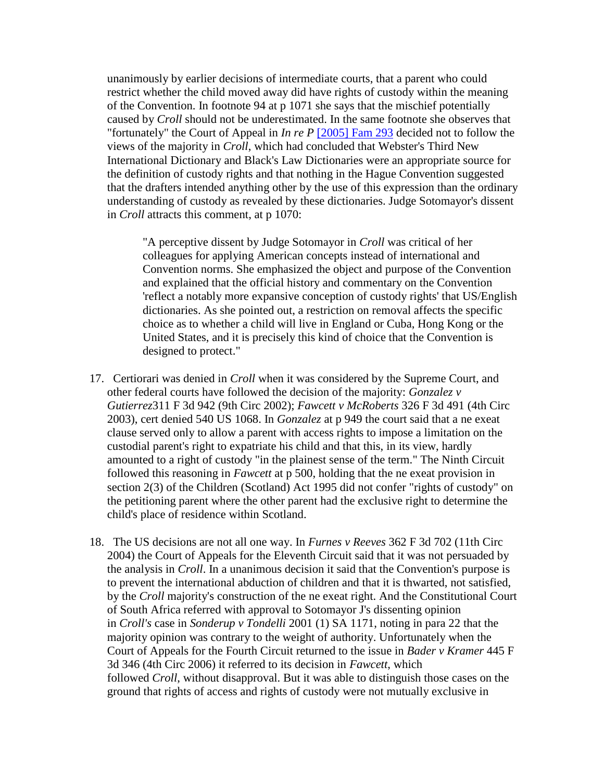unanimously by earlier decisions of intermediate courts, that a parent who could restrict whether the child moved away did have rights of custody within the meaning of the Convention. In footnote 94 at p 1071 she says that the mischief potentially caused by *Croll* should not be underestimated. In the same footnote she observes that "fortunately" the Court of Appeal in *In re P* [\[2005\] Fam 293](http://www.bailii.org/ew/cases/EWCA/Civ/2004/971.html) decided not to follow the views of the majority in *Croll*, which had concluded that Webster's Third New International Dictionary and Black's Law Dictionaries were an appropriate source for the definition of custody rights and that nothing in the Hague Convention suggested that the drafters intended anything other by the use of this expression than the ordinary understanding of custody as revealed by these dictionaries. Judge Sotomayor's dissent in *Croll* attracts this comment, at p 1070:

"A perceptive dissent by Judge Sotomayor in *Croll* was critical of her colleagues for applying American concepts instead of international and Convention norms. She emphasized the object and purpose of the Convention and explained that the official history and commentary on the Convention 'reflect a notably more expansive conception of custody rights' that US/English dictionaries. As she pointed out, a restriction on removal affects the specific choice as to whether a child will live in England or Cuba, Hong Kong or the United States, and it is precisely this kind of choice that the Convention is designed to protect."

- 17. Certiorari was denied in *Croll* when it was considered by the Supreme Court, and other federal courts have followed the decision of the majority: *Gonzalez v Gutierrez*311 F 3d 942 (9th Circ 2002); *Fawcett v McRoberts* 326 F 3d 491 (4th Circ 2003), cert denied 540 US 1068. In *Gonzalez* at p 949 the court said that a ne exeat clause served only to allow a parent with access rights to impose a limitation on the custodial parent's right to expatriate his child and that this, in its view, hardly amounted to a right of custody "in the plainest sense of the term." The Ninth Circuit followed this reasoning in *Fawcett* at p 500, holding that the ne exeat provision in section 2(3) of the Children (Scotland) Act 1995 did not confer "rights of custody" on the petitioning parent where the other parent had the exclusive right to determine the child's place of residence within Scotland.
- 18. The US decisions are not all one way. In *Furnes v Reeves* 362 F 3d 702 (11th Circ 2004) the Court of Appeals for the Eleventh Circuit said that it was not persuaded by the analysis in *Croll*. In a unanimous decision it said that the Convention's purpose is to prevent the international abduction of children and that it is thwarted, not satisfied, by the *Croll* majority's construction of the ne exeat right. And the Constitutional Court of South Africa referred with approval to Sotomayor J's dissenting opinion in *Croll's* case in *Sonderup v Tondelli* 2001 (1) SA 1171, noting in para 22 that the majority opinion was contrary to the weight of authority. Unfortunately when the Court of Appeals for the Fourth Circuit returned to the issue in *Bader v Kramer* 445 F 3d 346 (4th Circ 2006) it referred to its decision in *Fawcett*, which followed *Croll*, without disapproval. But it was able to distinguish those cases on the ground that rights of access and rights of custody were not mutually exclusive in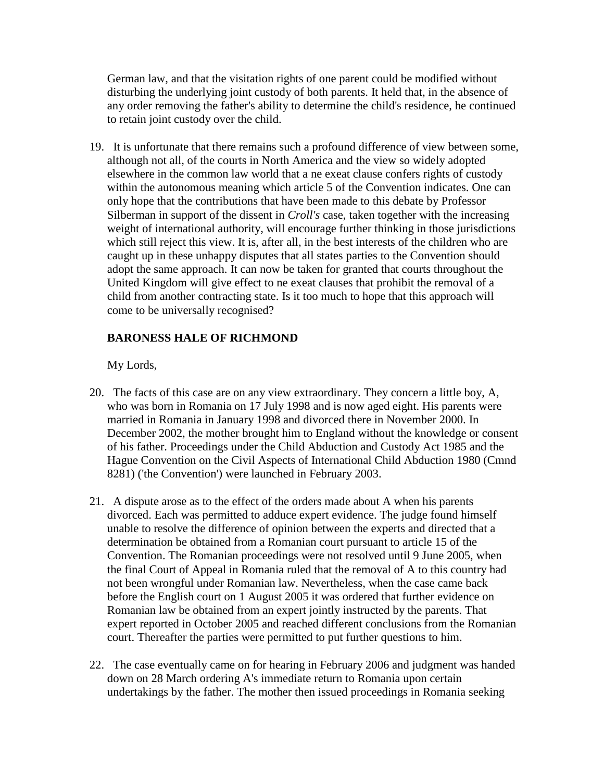German law, and that the visitation rights of one parent could be modified without disturbing the underlying joint custody of both parents. It held that, in the absence of any order removing the father's ability to determine the child's residence, he continued to retain joint custody over the child.

19. It is unfortunate that there remains such a profound difference of view between some, although not all, of the courts in North America and the view so widely adopted elsewhere in the common law world that a ne exeat clause confers rights of custody within the autonomous meaning which article 5 of the Convention indicates. One can only hope that the contributions that have been made to this debate by Professor Silberman in support of the dissent in *Croll's* case, taken together with the increasing weight of international authority, will encourage further thinking in those jurisdictions which still reject this view. It is, after all, in the best interests of the children who are caught up in these unhappy disputes that all states parties to the Convention should adopt the same approach. It can now be taken for granted that courts throughout the United Kingdom will give effect to ne exeat clauses that prohibit the removal of a child from another contracting state. Is it too much to hope that this approach will come to be universally recognised?

### **BARONESS HALE OF RICHMOND**

My Lords,

- 20. The facts of this case are on any view extraordinary. They concern a little boy, A, who was born in Romania on 17 July 1998 and is now aged eight. His parents were married in Romania in January 1998 and divorced there in November 2000. In December 2002, the mother brought him to England without the knowledge or consent of his father. Proceedings under the Child Abduction and Custody Act 1985 and the Hague Convention on the Civil Aspects of International Child Abduction 1980 (Cmnd 8281) ('the Convention') were launched in February 2003.
- 21. A dispute arose as to the effect of the orders made about A when his parents divorced. Each was permitted to adduce expert evidence. The judge found himself unable to resolve the difference of opinion between the experts and directed that a determination be obtained from a Romanian court pursuant to article 15 of the Convention. The Romanian proceedings were not resolved until 9 June 2005, when the final Court of Appeal in Romania ruled that the removal of A to this country had not been wrongful under Romanian law. Nevertheless, when the case came back before the English court on 1 August 2005 it was ordered that further evidence on Romanian law be obtained from an expert jointly instructed by the parents. That expert reported in October 2005 and reached different conclusions from the Romanian court. Thereafter the parties were permitted to put further questions to him.
- 22. The case eventually came on for hearing in February 2006 and judgment was handed down on 28 March ordering A's immediate return to Romania upon certain undertakings by the father. The mother then issued proceedings in Romania seeking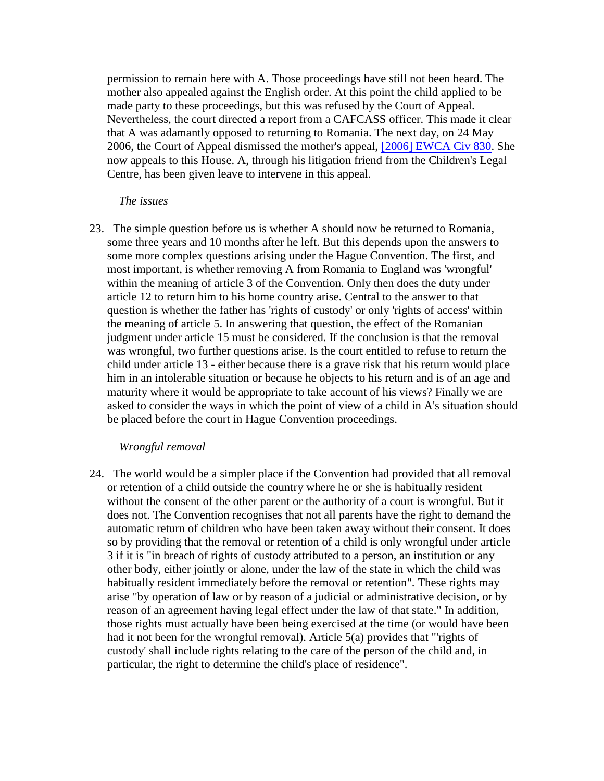permission to remain here with A. Those proceedings have still not been heard. The mother also appealed against the English order. At this point the child applied to be made party to these proceedings, but this was refused by the Court of Appeal. Nevertheless, the court directed a report from a CAFCASS officer. This made it clear that A was adamantly opposed to returning to Romania. The next day, on 24 May 2006, the Court of Appeal dismissed the mother's appeal, [\[2006\] EWCA Civ 830.](http://www.bailii.org/ew/cases/EWCA/Civ/2006/830.html) She now appeals to this House. A, through his litigation friend from the Children's Legal Centre, has been given leave to intervene in this appeal.

#### *The issues*

23. The simple question before us is whether A should now be returned to Romania, some three years and 10 months after he left. But this depends upon the answers to some more complex questions arising under the Hague Convention. The first, and most important, is whether removing A from Romania to England was 'wrongful' within the meaning of article 3 of the Convention. Only then does the duty under article 12 to return him to his home country arise. Central to the answer to that question is whether the father has 'rights of custody' or only 'rights of access' within the meaning of article 5. In answering that question, the effect of the Romanian judgment under article 15 must be considered. If the conclusion is that the removal was wrongful, two further questions arise. Is the court entitled to refuse to return the child under article 13 - either because there is a grave risk that his return would place him in an intolerable situation or because he objects to his return and is of an age and maturity where it would be appropriate to take account of his views? Finally we are asked to consider the ways in which the point of view of a child in A's situation should be placed before the court in Hague Convention proceedings.

#### *Wrongful removal*

24. The world would be a simpler place if the Convention had provided that all removal or retention of a child outside the country where he or she is habitually resident without the consent of the other parent or the authority of a court is wrongful. But it does not. The Convention recognises that not all parents have the right to demand the automatic return of children who have been taken away without their consent. It does so by providing that the removal or retention of a child is only wrongful under article 3 if it is "in breach of rights of custody attributed to a person, an institution or any other body, either jointly or alone, under the law of the state in which the child was habitually resident immediately before the removal or retention". These rights may arise "by operation of law or by reason of a judicial or administrative decision, or by reason of an agreement having legal effect under the law of that state." In addition, those rights must actually have been being exercised at the time (or would have been had it not been for the wrongful removal). Article 5(a) provides that "'rights of custody' shall include rights relating to the care of the person of the child and, in particular, the right to determine the child's place of residence".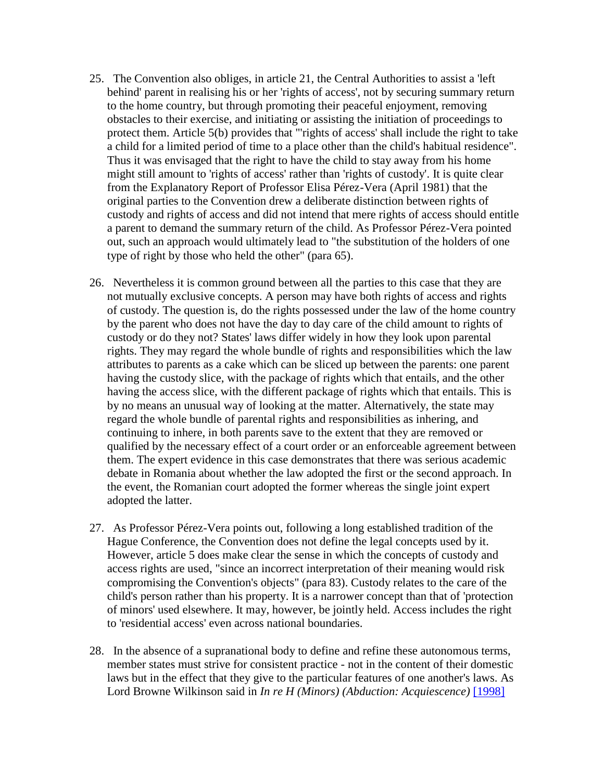- 25. The Convention also obliges, in article 21, the Central Authorities to assist a 'left behind' parent in realising his or her 'rights of access', not by securing summary return to the home country, but through promoting their peaceful enjoyment, removing obstacles to their exercise, and initiating or assisting the initiation of proceedings to protect them. Article 5(b) provides that "'rights of access' shall include the right to take a child for a limited period of time to a place other than the child's habitual residence". Thus it was envisaged that the right to have the child to stay away from his home might still amount to 'rights of access' rather than 'rights of custody'. It is quite clear from the Explanatory Report of Professor Elisa Pérez-Vera (April 1981) that the original parties to the Convention drew a deliberate distinction between rights of custody and rights of access and did not intend that mere rights of access should entitle a parent to demand the summary return of the child. As Professor Pérez-Vera pointed out, such an approach would ultimately lead to "the substitution of the holders of one type of right by those who held the other" (para 65).
- 26. Nevertheless it is common ground between all the parties to this case that they are not mutually exclusive concepts. A person may have both rights of access and rights of custody. The question is, do the rights possessed under the law of the home country by the parent who does not have the day to day care of the child amount to rights of custody or do they not? States' laws differ widely in how they look upon parental rights. They may regard the whole bundle of rights and responsibilities which the law attributes to parents as a cake which can be sliced up between the parents: one parent having the custody slice, with the package of rights which that entails, and the other having the access slice, with the different package of rights which that entails. This is by no means an unusual way of looking at the matter. Alternatively, the state may regard the whole bundle of parental rights and responsibilities as inhering, and continuing to inhere, in both parents save to the extent that they are removed or qualified by the necessary effect of a court order or an enforceable agreement between them. The expert evidence in this case demonstrates that there was serious academic debate in Romania about whether the law adopted the first or the second approach. In the event, the Romanian court adopted the former whereas the single joint expert adopted the latter.
- 27. As Professor Pérez-Vera points out, following a long established tradition of the Hague Conference, the Convention does not define the legal concepts used by it. However, article 5 does make clear the sense in which the concepts of custody and access rights are used, "since an incorrect interpretation of their meaning would risk compromising the Convention's objects" (para 83). Custody relates to the care of the child's person rather than his property. It is a narrower concept than that of 'protection of minors' used elsewhere. It may, however, be jointly held. Access includes the right to 'residential access' even across national boundaries.
- 28. In the absence of a supranational body to define and refine these autonomous terms, member states must strive for consistent practice - not in the content of their domestic laws but in the effect that they give to the particular features of one another's laws. As Lord Browne Wilkinson said in *In re H (Minors) (Abduction: Acquiescence)* [\[1998\]](http://www.bailii.org/cgi-bin/redirect.cgi?path=/uk/cases/UKHL/1997/12.html)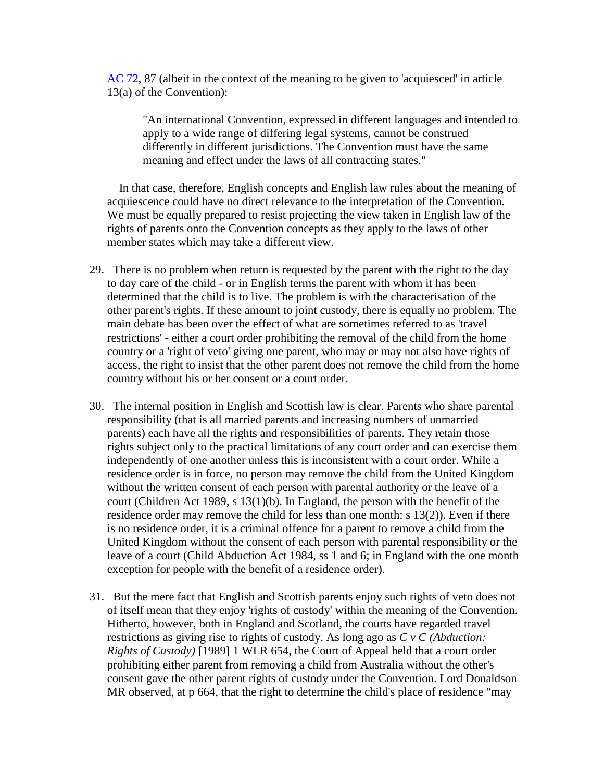[AC 72,](http://www.bailii.org/cgi-bin/redirect.cgi?path=/uk/cases/UKHL/1997/12.html) 87 (albeit in the context of the meaning to be given to 'acquiesced' in article 13(a) of the Convention):

"An international Convention, expressed in different languages and intended to apply to a wide range of differing legal systems, cannot be construed differently in different jurisdictions. The Convention must have the same meaning and effect under the laws of all contracting states."

 In that case, therefore, English concepts and English law rules about the meaning of acquiescence could have no direct relevance to the interpretation of the Convention. We must be equally prepared to resist projecting the view taken in English law of the rights of parents onto the Convention concepts as they apply to the laws of other member states which may take a different view.

- 29. There is no problem when return is requested by the parent with the right to the day to day care of the child - or in English terms the parent with whom it has been determined that the child is to live. The problem is with the characterisation of the other parent's rights. If these amount to joint custody, there is equally no problem. The main debate has been over the effect of what are sometimes referred to as 'travel restrictions' - either a court order prohibiting the removal of the child from the home country or a 'right of veto' giving one parent, who may or may not also have rights of access, the right to insist that the other parent does not remove the child from the home country without his or her consent or a court order.
- 30. The internal position in English and Scottish law is clear. Parents who share parental responsibility (that is all married parents and increasing numbers of unmarried parents) each have all the rights and responsibilities of parents. They retain those rights subject only to the practical limitations of any court order and can exercise them independently of one another unless this is inconsistent with a court order. While a residence order is in force, no person may remove the child from the United Kingdom without the written consent of each person with parental authority or the leave of a court (Children Act 1989, s 13(1)(b). In England, the person with the benefit of the residence order may remove the child for less than one month: s 13(2)). Even if there is no residence order, it is a criminal offence for a parent to remove a child from the United Kingdom without the consent of each person with parental responsibility or the leave of a court (Child Abduction Act 1984, ss 1 and 6; in England with the one month exception for people with the benefit of a residence order).
- 31. But the mere fact that English and Scottish parents enjoy such rights of veto does not of itself mean that they enjoy 'rights of custody' within the meaning of the Convention. Hitherto, however, both in England and Scotland, the courts have regarded travel restrictions as giving rise to rights of custody. As long ago as *C v C (Abduction: Rights of Custody)* [1989] 1 WLR 654, the Court of Appeal held that a court order prohibiting either parent from removing a child from Australia without the other's consent gave the other parent rights of custody under the Convention. Lord Donaldson MR observed, at p 664, that the right to determine the child's place of residence "may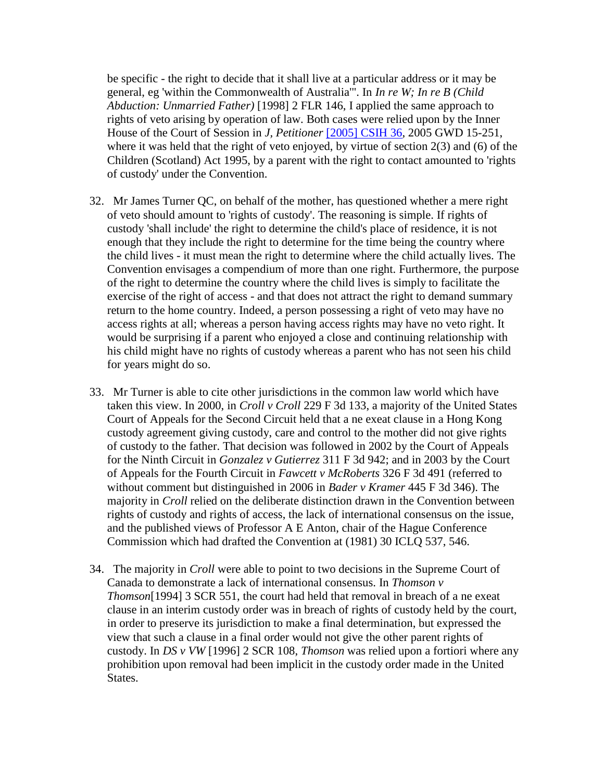be specific - the right to decide that it shall live at a particular address or it may be general, eg 'within the Commonwealth of Australia'". In *In re W; In re B (Child Abduction: Unmarried Father)* [1998] 2 FLR 146, I applied the same approach to rights of veto arising by operation of law. Both cases were relied upon by the Inner House of the Court of Session in *J, Petitioner* [\[2005\] CSIH 36,](http://www.bailii.org/scot/cases/ScotCS/2005/CSIH_36.html) 2005 GWD 15-251, where it was held that the right of veto enjoyed, by virtue of section 2(3) and (6) of the Children (Scotland) Act 1995, by a parent with the right to contact amounted to 'rights of custody' under the Convention.

- 32. Mr James Turner QC, on behalf of the mother, has questioned whether a mere right of veto should amount to 'rights of custody'. The reasoning is simple. If rights of custody 'shall include' the right to determine the child's place of residence, it is not enough that they include the right to determine for the time being the country where the child lives - it must mean the right to determine where the child actually lives. The Convention envisages a compendium of more than one right. Furthermore, the purpose of the right to determine the country where the child lives is simply to facilitate the exercise of the right of access - and that does not attract the right to demand summary return to the home country. Indeed, a person possessing a right of veto may have no access rights at all; whereas a person having access rights may have no veto right. It would be surprising if a parent who enjoyed a close and continuing relationship with his child might have no rights of custody whereas a parent who has not seen his child for years might do so.
- 33. Mr Turner is able to cite other jurisdictions in the common law world which have taken this view. In 2000, in *Croll v Croll* 229 F 3d 133, a majority of the United States Court of Appeals for the Second Circuit held that a ne exeat clause in a Hong Kong custody agreement giving custody, care and control to the mother did not give rights of custody to the father. That decision was followed in 2002 by the Court of Appeals for the Ninth Circuit in *Gonzalez v Gutierrez* 311 F 3d 942; and in 2003 by the Court of Appeals for the Fourth Circuit in *Fawcett v McRoberts* 326 F 3d 491 (referred to without comment but distinguished in 2006 in *Bader v Kramer* 445 F 3d 346). The majority in *Croll* relied on the deliberate distinction drawn in the Convention between rights of custody and rights of access, the lack of international consensus on the issue, and the published views of Professor A E Anton, chair of the Hague Conference Commission which had drafted the Convention at (1981) 30 ICLQ 537, 546.
- 34. The majority in *Croll* were able to point to two decisions in the Supreme Court of Canada to demonstrate a lack of international consensus. In *Thomson v Thomson*[1994] 3 SCR 551, the court had held that removal in breach of a ne exeat clause in an interim custody order was in breach of rights of custody held by the court, in order to preserve its jurisdiction to make a final determination, but expressed the view that such a clause in a final order would not give the other parent rights of custody. In *DS v VW* [1996] 2 SCR 108, *Thomson* was relied upon a fortiori where any prohibition upon removal had been implicit in the custody order made in the United States.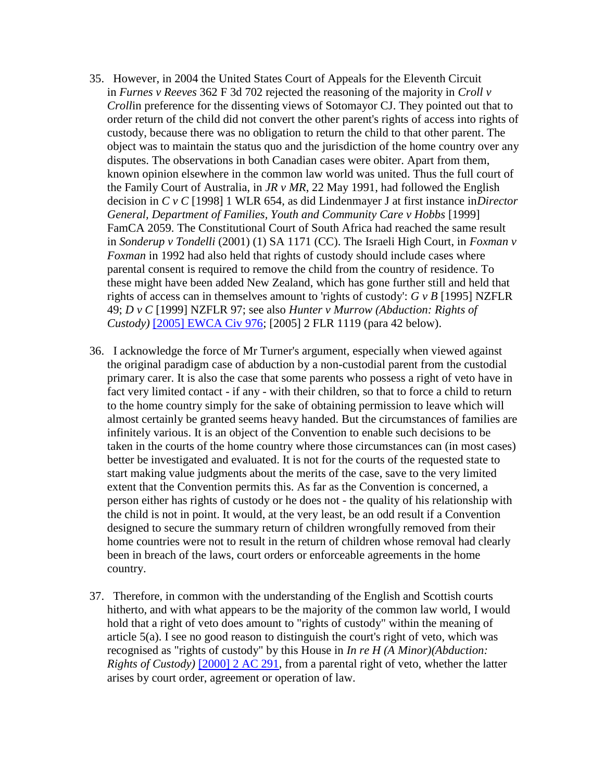- 35. However, in 2004 the United States Court of Appeals for the Eleventh Circuit in *Furnes v Reeves* 362 F 3d 702 rejected the reasoning of the majority in *Croll v Croll*in preference for the dissenting views of Sotomayor CJ. They pointed out that to order return of the child did not convert the other parent's rights of access into rights of custody, because there was no obligation to return the child to that other parent. The object was to maintain the status quo and the jurisdiction of the home country over any disputes. The observations in both Canadian cases were obiter. Apart from them, known opinion elsewhere in the common law world was united. Thus the full court of the Family Court of Australia, in *JR v MR*, 22 May 1991, had followed the English decision in *C v C* [1998] 1 WLR 654, as did Lindenmayer J at first instance in*Director General, Department of Families, Youth and Community Care v Hobbs* [1999] FamCA 2059. The Constitutional Court of South Africa had reached the same result in *Sonderup v Tondelli* (2001) (1) SA 1171 (CC). The Israeli High Court, in *Foxman v Foxman* in 1992 had also held that rights of custody should include cases where parental consent is required to remove the child from the country of residence. To these might have been added New Zealand, which has gone further still and held that rights of access can in themselves amount to 'rights of custody': *G v B* [1995] NZFLR 49; *D v C* [1999] NZFLR 97; see also *Hunter v Murrow (Abduction: Rights of Custody)* [\[2005\] EWCA Civ 976;](http://www.bailii.org/ew/cases/EWCA/Civ/2005/976.html) [2005] 2 FLR 1119 (para 42 below).
- 36. I acknowledge the force of Mr Turner's argument, especially when viewed against the original paradigm case of abduction by a non-custodial parent from the custodial primary carer. It is also the case that some parents who possess a right of veto have in fact very limited contact - if any - with their children, so that to force a child to return to the home country simply for the sake of obtaining permission to leave which will almost certainly be granted seems heavy handed. But the circumstances of families are infinitely various. It is an object of the Convention to enable such decisions to be taken in the courts of the home country where those circumstances can (in most cases) better be investigated and evaluated. It is not for the courts of the requested state to start making value judgments about the merits of the case, save to the very limited extent that the Convention permits this. As far as the Convention is concerned, a person either has rights of custody or he does not - the quality of his relationship with the child is not in point. It would, at the very least, be an odd result if a Convention designed to secure the summary return of children wrongfully removed from their home countries were not to result in the return of children whose removal had clearly been in breach of the laws, court orders or enforceable agreements in the home country.
- 37. Therefore, in common with the understanding of the English and Scottish courts hitherto, and with what appears to be the majority of the common law world, I would hold that a right of veto does amount to "rights of custody" within the meaning of article 5(a). I see no good reason to distinguish the court's right of veto, which was recognised as "rights of custody" by this House in *In re H (A Minor)(Abduction: Rights of Custody)* [\[2000\] 2 AC 291,](http://www.bailii.org/cgi-bin/redirect.cgi?path=/uk/cases/UKHL/2000/6.html) from a parental right of veto, whether the latter arises by court order, agreement or operation of law.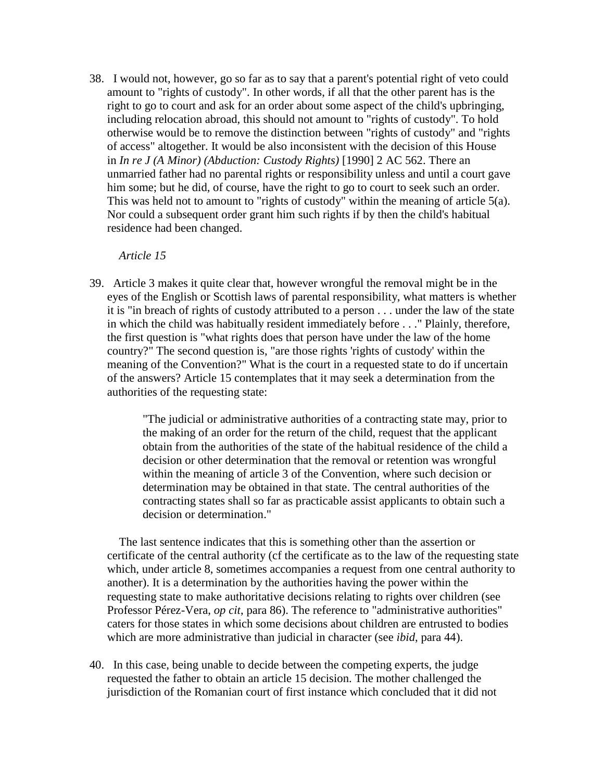38. I would not, however, go so far as to say that a parent's potential right of veto could amount to "rights of custody". In other words, if all that the other parent has is the right to go to court and ask for an order about some aspect of the child's upbringing, including relocation abroad, this should not amount to "rights of custody". To hold otherwise would be to remove the distinction between "rights of custody" and "rights of access" altogether. It would be also inconsistent with the decision of this House in *In re J (A Minor) (Abduction: Custody Rights)* [1990] 2 AC 562. There an unmarried father had no parental rights or responsibility unless and until a court gave him some; but he did, of course, have the right to go to court to seek such an order. This was held not to amount to "rights of custody" within the meaning of article 5(a). Nor could a subsequent order grant him such rights if by then the child's habitual residence had been changed.

#### *Article 15*

39. Article 3 makes it quite clear that, however wrongful the removal might be in the eyes of the English or Scottish laws of parental responsibility, what matters is whether it is "in breach of rights of custody attributed to a person . . . under the law of the state in which the child was habitually resident immediately before . . ." Plainly, therefore, the first question is "what rights does that person have under the law of the home country?" The second question is, "are those rights 'rights of custody' within the meaning of the Convention?" What is the court in a requested state to do if uncertain of the answers? Article 15 contemplates that it may seek a determination from the authorities of the requesting state:

> "The judicial or administrative authorities of a contracting state may, prior to the making of an order for the return of the child, request that the applicant obtain from the authorities of the state of the habitual residence of the child a decision or other determination that the removal or retention was wrongful within the meaning of article 3 of the Convention, where such decision or determination may be obtained in that state. The central authorities of the contracting states shall so far as practicable assist applicants to obtain such a decision or determination."

 The last sentence indicates that this is something other than the assertion or certificate of the central authority (cf the certificate as to the law of the requesting state which, under article 8, sometimes accompanies a request from one central authority to another). It is a determination by the authorities having the power within the requesting state to make authoritative decisions relating to rights over children (see Professor Pérez-Vera, *op cit*, para 86). The reference to "administrative authorities" caters for those states in which some decisions about children are entrusted to bodies which are more administrative than judicial in character (see *ibid*, para 44).

40. In this case, being unable to decide between the competing experts, the judge requested the father to obtain an article 15 decision. The mother challenged the jurisdiction of the Romanian court of first instance which concluded that it did not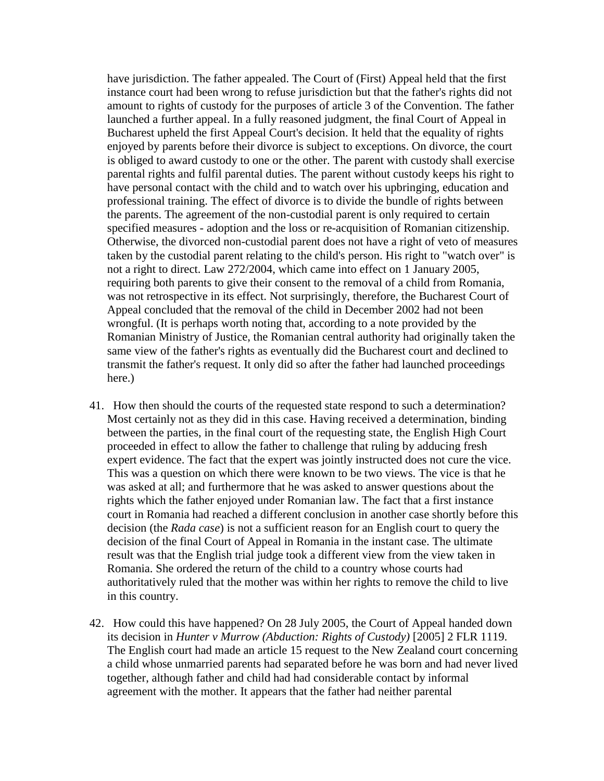have jurisdiction. The father appealed. The Court of (First) Appeal held that the first instance court had been wrong to refuse jurisdiction but that the father's rights did not amount to rights of custody for the purposes of article 3 of the Convention. The father launched a further appeal. In a fully reasoned judgment, the final Court of Appeal in Bucharest upheld the first Appeal Court's decision. It held that the equality of rights enjoyed by parents before their divorce is subject to exceptions. On divorce, the court is obliged to award custody to one or the other. The parent with custody shall exercise parental rights and fulfil parental duties. The parent without custody keeps his right to have personal contact with the child and to watch over his upbringing, education and professional training. The effect of divorce is to divide the bundle of rights between the parents. The agreement of the non-custodial parent is only required to certain specified measures - adoption and the loss or re-acquisition of Romanian citizenship. Otherwise, the divorced non-custodial parent does not have a right of veto of measures taken by the custodial parent relating to the child's person. His right to "watch over" is not a right to direct. Law 272/2004, which came into effect on 1 January 2005, requiring both parents to give their consent to the removal of a child from Romania, was not retrospective in its effect. Not surprisingly, therefore, the Bucharest Court of Appeal concluded that the removal of the child in December 2002 had not been wrongful. (It is perhaps worth noting that, according to a note provided by the Romanian Ministry of Justice, the Romanian central authority had originally taken the same view of the father's rights as eventually did the Bucharest court and declined to transmit the father's request. It only did so after the father had launched proceedings here.)

- 41. How then should the courts of the requested state respond to such a determination? Most certainly not as they did in this case. Having received a determination, binding between the parties, in the final court of the requesting state, the English High Court proceeded in effect to allow the father to challenge that ruling by adducing fresh expert evidence. The fact that the expert was jointly instructed does not cure the vice. This was a question on which there were known to be two views. The vice is that he was asked at all; and furthermore that he was asked to answer questions about the rights which the father enjoyed under Romanian law. The fact that a first instance court in Romania had reached a different conclusion in another case shortly before this decision (the *Rada case*) is not a sufficient reason for an English court to query the decision of the final Court of Appeal in Romania in the instant case. The ultimate result was that the English trial judge took a different view from the view taken in Romania. She ordered the return of the child to a country whose courts had authoritatively ruled that the mother was within her rights to remove the child to live in this country.
- 42. How could this have happened? On 28 July 2005, the Court of Appeal handed down its decision in *Hunter v Murrow (Abduction: Rights of Custody)* [2005] 2 FLR 1119. The English court had made an article 15 request to the New Zealand court concerning a child whose unmarried parents had separated before he was born and had never lived together, although father and child had had considerable contact by informal agreement with the mother. It appears that the father had neither parental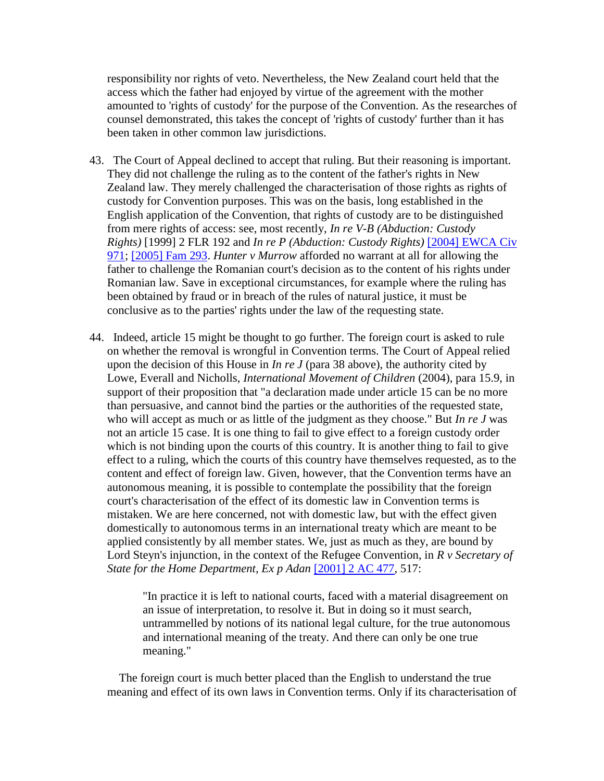responsibility nor rights of veto. Nevertheless, the New Zealand court held that the access which the father had enjoyed by virtue of the agreement with the mother amounted to 'rights of custody' for the purpose of the Convention. As the researches of counsel demonstrated, this takes the concept of 'rights of custody' further than it has been taken in other common law jurisdictions.

- 43. The Court of Appeal declined to accept that ruling. But their reasoning is important. They did not challenge the ruling as to the content of the father's rights in New Zealand law. They merely challenged the characterisation of those rights as rights of custody for Convention purposes. This was on the basis, long established in the English application of the Convention, that rights of custody are to be distinguished from mere rights of access: see, most recently, *In re V-B (Abduction: Custody Rights)* [1999] 2 FLR 192 and *In re P (Abduction: Custody Rights)* [\[2004\] EWCA Civ](http://www.bailii.org/ew/cases/EWCA/Civ/2004/971.html)  [971;](http://www.bailii.org/ew/cases/EWCA/Civ/2004/971.html) [\[2005\] Fam 293.](http://www.bailii.org/ew/cases/EWCA/Civ/2004/971.html) *Hunter v Murrow* afforded no warrant at all for allowing the father to challenge the Romanian court's decision as to the content of his rights under Romanian law. Save in exceptional circumstances, for example where the ruling has been obtained by fraud or in breach of the rules of natural justice, it must be conclusive as to the parties' rights under the law of the requesting state.
- 44. Indeed, article 15 might be thought to go further. The foreign court is asked to rule on whether the removal is wrongful in Convention terms. The Court of Appeal relied upon the decision of this House in *In re J* (para 38 above), the authority cited by Lowe, Everall and Nicholls, *International Movement of Children* (2004), para 15.9, in support of their proposition that "a declaration made under article 15 can be no more than persuasive, and cannot bind the parties or the authorities of the requested state, who will accept as much or as little of the judgment as they choose." But *In re J* was not an article 15 case. It is one thing to fail to give effect to a foreign custody order which is not binding upon the courts of this country. It is another thing to fail to give effect to a ruling, which the courts of this country have themselves requested, as to the content and effect of foreign law. Given, however, that the Convention terms have an autonomous meaning, it is possible to contemplate the possibility that the foreign court's characterisation of the effect of its domestic law in Convention terms is mistaken. We are here concerned, not with domestic law, but with the effect given domestically to autonomous terms in an international treaty which are meant to be applied consistently by all member states. We, just as much as they, are bound by Lord Steyn's injunction, in the context of the Refugee Convention, in *R v Secretary of State for the Home Department, Ex p Adan* [\[2001\] 2 AC 477,](http://www.bailii.org/cgi-bin/redirect.cgi?path=/uk/cases/UKHL/2000/67.html) 517:

"In practice it is left to national courts, faced with a material disagreement on an issue of interpretation, to resolve it. But in doing so it must search, untrammelled by notions of its national legal culture, for the true autonomous and international meaning of the treaty. And there can only be one true meaning."

 The foreign court is much better placed than the English to understand the true meaning and effect of its own laws in Convention terms. Only if its characterisation of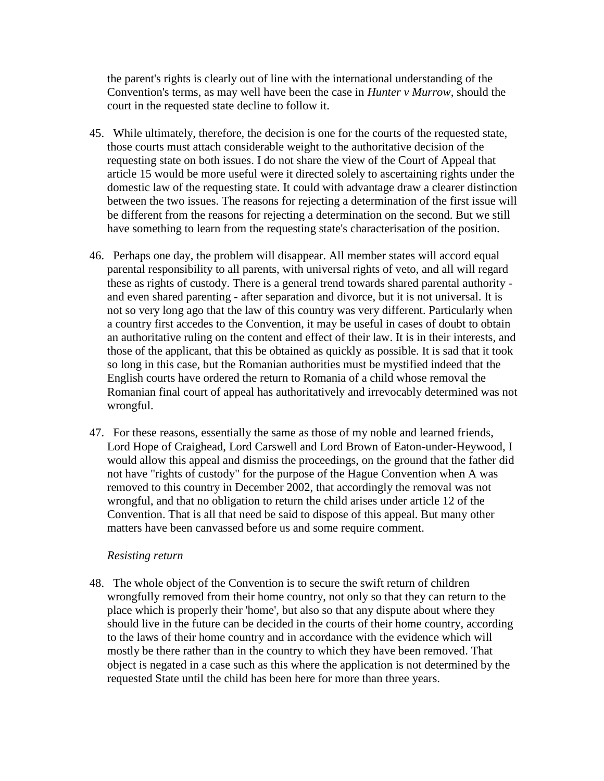the parent's rights is clearly out of line with the international understanding of the Convention's terms, as may well have been the case in *Hunter v Murrow*, should the court in the requested state decline to follow it.

- 45. While ultimately, therefore, the decision is one for the courts of the requested state, those courts must attach considerable weight to the authoritative decision of the requesting state on both issues. I do not share the view of the Court of Appeal that article 15 would be more useful were it directed solely to ascertaining rights under the domestic law of the requesting state. It could with advantage draw a clearer distinction between the two issues. The reasons for rejecting a determination of the first issue will be different from the reasons for rejecting a determination on the second. But we still have something to learn from the requesting state's characterisation of the position.
- 46. Perhaps one day, the problem will disappear. All member states will accord equal parental responsibility to all parents, with universal rights of veto, and all will regard these as rights of custody. There is a general trend towards shared parental authority and even shared parenting - after separation and divorce, but it is not universal. It is not so very long ago that the law of this country was very different. Particularly when a country first accedes to the Convention, it may be useful in cases of doubt to obtain an authoritative ruling on the content and effect of their law. It is in their interests, and those of the applicant, that this be obtained as quickly as possible. It is sad that it took so long in this case, but the Romanian authorities must be mystified indeed that the English courts have ordered the return to Romania of a child whose removal the Romanian final court of appeal has authoritatively and irrevocably determined was not wrongful.
- 47. For these reasons, essentially the same as those of my noble and learned friends, Lord Hope of Craighead, Lord Carswell and Lord Brown of Eaton-under-Heywood, I would allow this appeal and dismiss the proceedings, on the ground that the father did not have "rights of custody" for the purpose of the Hague Convention when A was removed to this country in December 2002, that accordingly the removal was not wrongful, and that no obligation to return the child arises under article 12 of the Convention. That is all that need be said to dispose of this appeal. But many other matters have been canvassed before us and some require comment.

#### *Resisting return*

48. The whole object of the Convention is to secure the swift return of children wrongfully removed from their home country, not only so that they can return to the place which is properly their 'home', but also so that any dispute about where they should live in the future can be decided in the courts of their home country, according to the laws of their home country and in accordance with the evidence which will mostly be there rather than in the country to which they have been removed. That object is negated in a case such as this where the application is not determined by the requested State until the child has been here for more than three years.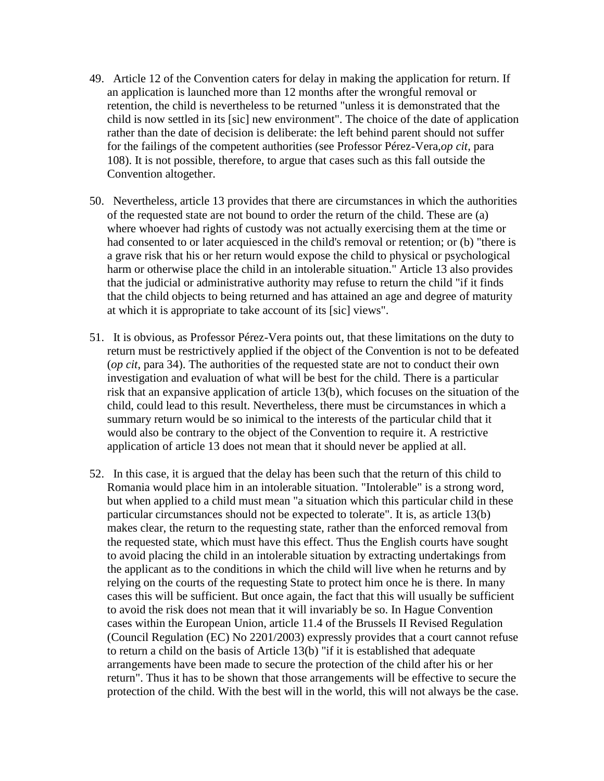- 49. Article 12 of the Convention caters for delay in making the application for return. If an application is launched more than 12 months after the wrongful removal or retention, the child is nevertheless to be returned "unless it is demonstrated that the child is now settled in its [sic] new environment". The choice of the date of application rather than the date of decision is deliberate: the left behind parent should not suffer for the failings of the competent authorities (see Professor Pérez-Vera,*op cit,* para 108). It is not possible, therefore, to argue that cases such as this fall outside the Convention altogether.
- 50. Nevertheless, article 13 provides that there are circumstances in which the authorities of the requested state are not bound to order the return of the child. These are (a) where whoever had rights of custody was not actually exercising them at the time or had consented to or later acquiesced in the child's removal or retention; or (b) "there is a grave risk that his or her return would expose the child to physical or psychological harm or otherwise place the child in an intolerable situation." Article 13 also provides that the judicial or administrative authority may refuse to return the child "if it finds that the child objects to being returned and has attained an age and degree of maturity at which it is appropriate to take account of its [sic] views".
- 51. It is obvious, as Professor Pérez-Vera points out, that these limitations on the duty to return must be restrictively applied if the object of the Convention is not to be defeated (*op cit*, para 34). The authorities of the requested state are not to conduct their own investigation and evaluation of what will be best for the child. There is a particular risk that an expansive application of article 13(b), which focuses on the situation of the child, could lead to this result. Nevertheless, there must be circumstances in which a summary return would be so inimical to the interests of the particular child that it would also be contrary to the object of the Convention to require it. A restrictive application of article 13 does not mean that it should never be applied at all.
- 52. In this case, it is argued that the delay has been such that the return of this child to Romania would place him in an intolerable situation. "Intolerable" is a strong word, but when applied to a child must mean "a situation which this particular child in these particular circumstances should not be expected to tolerate". It is, as article 13(b) makes clear, the return to the requesting state, rather than the enforced removal from the requested state, which must have this effect. Thus the English courts have sought to avoid placing the child in an intolerable situation by extracting undertakings from the applicant as to the conditions in which the child will live when he returns and by relying on the courts of the requesting State to protect him once he is there. In many cases this will be sufficient. But once again, the fact that this will usually be sufficient to avoid the risk does not mean that it will invariably be so. In Hague Convention cases within the European Union, article 11.4 of the Brussels II Revised Regulation (Council Regulation (EC) No 2201/2003) expressly provides that a court cannot refuse to return a child on the basis of Article 13(b) "if it is established that adequate arrangements have been made to secure the protection of the child after his or her return". Thus it has to be shown that those arrangements will be effective to secure the protection of the child. With the best will in the world, this will not always be the case.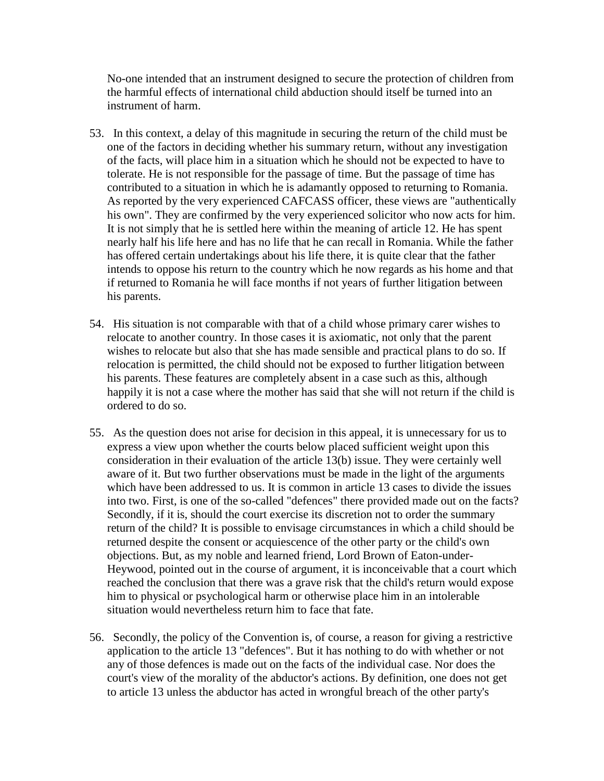No-one intended that an instrument designed to secure the protection of children from the harmful effects of international child abduction should itself be turned into an instrument of harm.

- 53. In this context, a delay of this magnitude in securing the return of the child must be one of the factors in deciding whether his summary return, without any investigation of the facts, will place him in a situation which he should not be expected to have to tolerate. He is not responsible for the passage of time. But the passage of time has contributed to a situation in which he is adamantly opposed to returning to Romania. As reported by the very experienced CAFCASS officer, these views are "authentically his own". They are confirmed by the very experienced solicitor who now acts for him. It is not simply that he is settled here within the meaning of article 12. He has spent nearly half his life here and has no life that he can recall in Romania. While the father has offered certain undertakings about his life there, it is quite clear that the father intends to oppose his return to the country which he now regards as his home and that if returned to Romania he will face months if not years of further litigation between his parents.
- 54. His situation is not comparable with that of a child whose primary carer wishes to relocate to another country. In those cases it is axiomatic, not only that the parent wishes to relocate but also that she has made sensible and practical plans to do so. If relocation is permitted, the child should not be exposed to further litigation between his parents. These features are completely absent in a case such as this, although happily it is not a case where the mother has said that she will not return if the child is ordered to do so.
- 55. As the question does not arise for decision in this appeal, it is unnecessary for us to express a view upon whether the courts below placed sufficient weight upon this consideration in their evaluation of the article 13(b) issue. They were certainly well aware of it. But two further observations must be made in the light of the arguments which have been addressed to us. It is common in article 13 cases to divide the issues into two. First, is one of the so-called "defences" there provided made out on the facts? Secondly, if it is, should the court exercise its discretion not to order the summary return of the child? It is possible to envisage circumstances in which a child should be returned despite the consent or acquiescence of the other party or the child's own objections. But, as my noble and learned friend, Lord Brown of Eaton-under-Heywood, pointed out in the course of argument, it is inconceivable that a court which reached the conclusion that there was a grave risk that the child's return would expose him to physical or psychological harm or otherwise place him in an intolerable situation would nevertheless return him to face that fate.
- 56. Secondly, the policy of the Convention is, of course, a reason for giving a restrictive application to the article 13 "defences". But it has nothing to do with whether or not any of those defences is made out on the facts of the individual case. Nor does the court's view of the morality of the abductor's actions. By definition, one does not get to article 13 unless the abductor has acted in wrongful breach of the other party's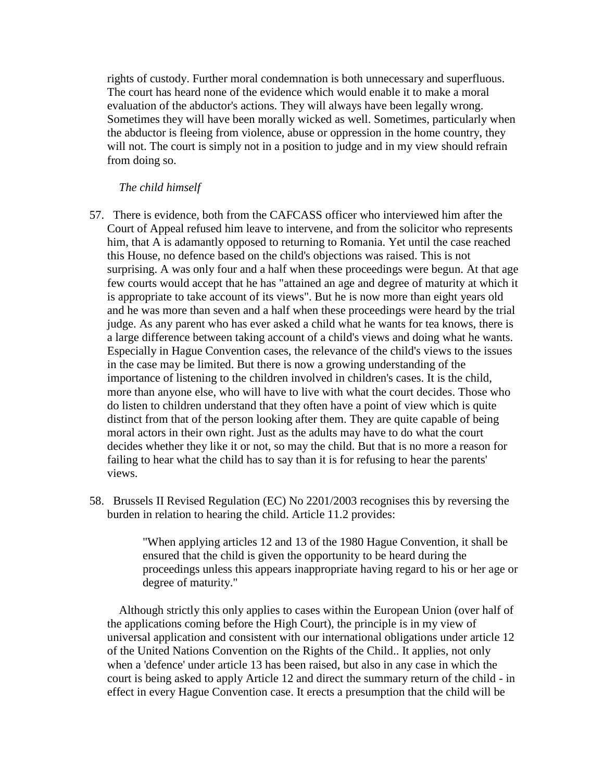rights of custody. Further moral condemnation is both unnecessary and superfluous. The court has heard none of the evidence which would enable it to make a moral evaluation of the abductor's actions. They will always have been legally wrong. Sometimes they will have been morally wicked as well. Sometimes, particularly when the abductor is fleeing from violence, abuse or oppression in the home country, they will not. The court is simply not in a position to judge and in my view should refrain from doing so.

#### *The child himself*

- 57. There is evidence, both from the CAFCASS officer who interviewed him after the Court of Appeal refused him leave to intervene, and from the solicitor who represents him, that A is adamantly opposed to returning to Romania. Yet until the case reached this House, no defence based on the child's objections was raised. This is not surprising. A was only four and a half when these proceedings were begun. At that age few courts would accept that he has "attained an age and degree of maturity at which it is appropriate to take account of its views". But he is now more than eight years old and he was more than seven and a half when these proceedings were heard by the trial judge. As any parent who has ever asked a child what he wants for tea knows, there is a large difference between taking account of a child's views and doing what he wants. Especially in Hague Convention cases, the relevance of the child's views to the issues in the case may be limited. But there is now a growing understanding of the importance of listening to the children involved in children's cases. It is the child, more than anyone else, who will have to live with what the court decides. Those who do listen to children understand that they often have a point of view which is quite distinct from that of the person looking after them. They are quite capable of being moral actors in their own right. Just as the adults may have to do what the court decides whether they like it or not, so may the child. But that is no more a reason for failing to hear what the child has to say than it is for refusing to hear the parents' views.
- 58. Brussels II Revised Regulation (EC) No 2201/2003 recognises this by reversing the burden in relation to hearing the child. Article 11.2 provides:

"When applying articles 12 and 13 of the 1980 Hague Convention, it shall be ensured that the child is given the opportunity to be heard during the proceedings unless this appears inappropriate having regard to his or her age or degree of maturity."

 Although strictly this only applies to cases within the European Union (over half of the applications coming before the High Court), the principle is in my view of universal application and consistent with our international obligations under article 12 of the United Nations Convention on the Rights of the Child.. It applies, not only when a 'defence' under article 13 has been raised, but also in any case in which the court is being asked to apply Article 12 and direct the summary return of the child - in effect in every Hague Convention case. It erects a presumption that the child will be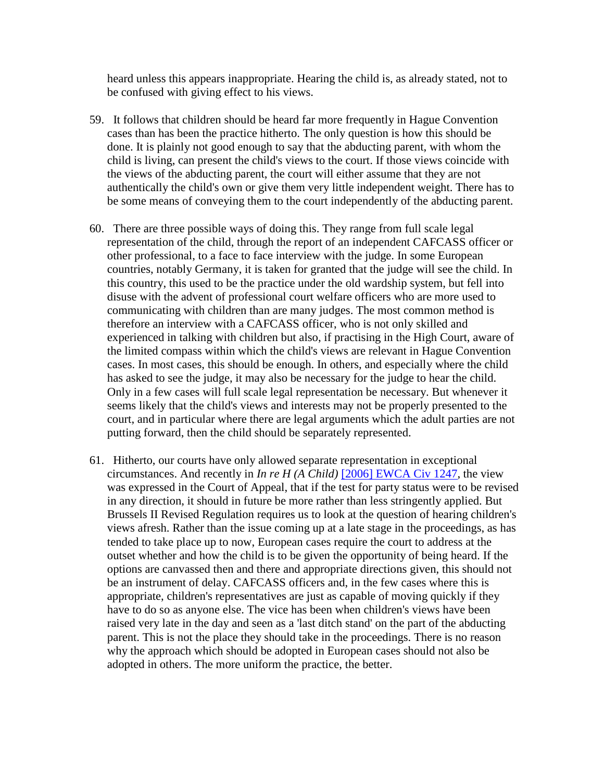heard unless this appears inappropriate. Hearing the child is, as already stated, not to be confused with giving effect to his views.

- 59. It follows that children should be heard far more frequently in Hague Convention cases than has been the practice hitherto. The only question is how this should be done. It is plainly not good enough to say that the abducting parent, with whom the child is living, can present the child's views to the court. If those views coincide with the views of the abducting parent, the court will either assume that they are not authentically the child's own or give them very little independent weight. There has to be some means of conveying them to the court independently of the abducting parent.
- 60. There are three possible ways of doing this. They range from full scale legal representation of the child, through the report of an independent CAFCASS officer or other professional, to a face to face interview with the judge. In some European countries, notably Germany, it is taken for granted that the judge will see the child. In this country, this used to be the practice under the old wardship system, but fell into disuse with the advent of professional court welfare officers who are more used to communicating with children than are many judges. The most common method is therefore an interview with a CAFCASS officer, who is not only skilled and experienced in talking with children but also, if practising in the High Court, aware of the limited compass within which the child's views are relevant in Hague Convention cases. In most cases, this should be enough. In others, and especially where the child has asked to see the judge, it may also be necessary for the judge to hear the child. Only in a few cases will full scale legal representation be necessary. But whenever it seems likely that the child's views and interests may not be properly presented to the court, and in particular where there are legal arguments which the adult parties are not putting forward, then the child should be separately represented.
- 61. Hitherto, our courts have only allowed separate representation in exceptional circumstances. And recently in *In re H (A Child)* [\[2006\] EWCA Civ 1247,](http://www.bailii.org/ew/cases/EWCA/Civ/2006/1247.html) the view was expressed in the Court of Appeal, that if the test for party status were to be revised in any direction, it should in future be more rather than less stringently applied. But Brussels II Revised Regulation requires us to look at the question of hearing children's views afresh. Rather than the issue coming up at a late stage in the proceedings, as has tended to take place up to now, European cases require the court to address at the outset whether and how the child is to be given the opportunity of being heard. If the options are canvassed then and there and appropriate directions given, this should not be an instrument of delay. CAFCASS officers and, in the few cases where this is appropriate, children's representatives are just as capable of moving quickly if they have to do so as anyone else. The vice has been when children's views have been raised very late in the day and seen as a 'last ditch stand' on the part of the abducting parent. This is not the place they should take in the proceedings. There is no reason why the approach which should be adopted in European cases should not also be adopted in others. The more uniform the practice, the better.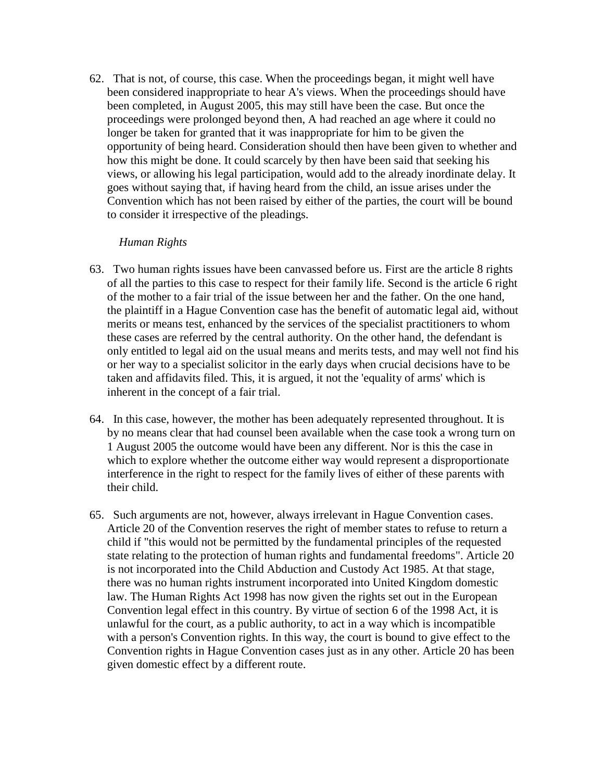62. That is not, of course, this case. When the proceedings began, it might well have been considered inappropriate to hear A's views. When the proceedings should have been completed, in August 2005, this may still have been the case. But once the proceedings were prolonged beyond then, A had reached an age where it could no longer be taken for granted that it was inappropriate for him to be given the opportunity of being heard. Consideration should then have been given to whether and how this might be done. It could scarcely by then have been said that seeking his views, or allowing his legal participation, would add to the already inordinate delay. It goes without saying that, if having heard from the child, an issue arises under the Convention which has not been raised by either of the parties, the court will be bound to consider it irrespective of the pleadings.

#### *Human Rights*

- 63. Two human rights issues have been canvassed before us. First are the article 8 rights of all the parties to this case to respect for their family life. Second is the article 6 right of the mother to a fair trial of the issue between her and the father. On the one hand, the plaintiff in a Hague Convention case has the benefit of automatic legal aid, without merits or means test, enhanced by the services of the specialist practitioners to whom these cases are referred by the central authority. On the other hand, the defendant is only entitled to legal aid on the usual means and merits tests, and may well not find his or her way to a specialist solicitor in the early days when crucial decisions have to be taken and affidavits filed. This, it is argued, it not the 'equality of arms' which is inherent in the concept of a fair trial.
- 64. In this case, however, the mother has been adequately represented throughout. It is by no means clear that had counsel been available when the case took a wrong turn on 1 August 2005 the outcome would have been any different. Nor is this the case in which to explore whether the outcome either way would represent a disproportionate interference in the right to respect for the family lives of either of these parents with their child.
- 65. Such arguments are not, however, always irrelevant in Hague Convention cases. Article 20 of the Convention reserves the right of member states to refuse to return a child if "this would not be permitted by the fundamental principles of the requested state relating to the protection of human rights and fundamental freedoms". Article 20 is not incorporated into the Child Abduction and Custody Act 1985. At that stage, there was no human rights instrument incorporated into United Kingdom domestic law. The Human Rights Act 1998 has now given the rights set out in the European Convention legal effect in this country. By virtue of section 6 of the 1998 Act, it is unlawful for the court, as a public authority, to act in a way which is incompatible with a person's Convention rights. In this way, the court is bound to give effect to the Convention rights in Hague Convention cases just as in any other. Article 20 has been given domestic effect by a different route.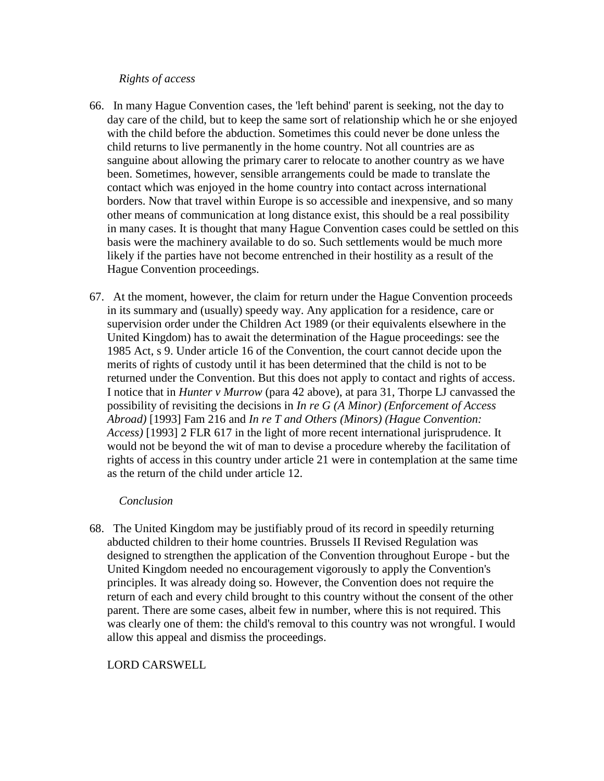#### *Rights of access*

- 66. In many Hague Convention cases, the 'left behind' parent is seeking, not the day to day care of the child, but to keep the same sort of relationship which he or she enjoyed with the child before the abduction. Sometimes this could never be done unless the child returns to live permanently in the home country. Not all countries are as sanguine about allowing the primary carer to relocate to another country as we have been. Sometimes, however, sensible arrangements could be made to translate the contact which was enjoyed in the home country into contact across international borders. Now that travel within Europe is so accessible and inexpensive, and so many other means of communication at long distance exist, this should be a real possibility in many cases. It is thought that many Hague Convention cases could be settled on this basis were the machinery available to do so. Such settlements would be much more likely if the parties have not become entrenched in their hostility as a result of the Hague Convention proceedings.
- 67. At the moment, however, the claim for return under the Hague Convention proceeds in its summary and (usually) speedy way. Any application for a residence, care or supervision order under the Children Act 1989 (or their equivalents elsewhere in the United Kingdom) has to await the determination of the Hague proceedings: see the 1985 Act, s 9. Under article 16 of the Convention, the court cannot decide upon the merits of rights of custody until it has been determined that the child is not to be returned under the Convention. But this does not apply to contact and rights of access. I notice that in *Hunter v Murrow* (para 42 above), at para 31, Thorpe LJ canvassed the possibility of revisiting the decisions in *In re G (A Minor) (Enforcement of Access Abroad)* [1993] Fam 216 and *In re T and Others (Minors) (Hague Convention: Access)* [1993] 2 FLR 617 in the light of more recent international jurisprudence. It would not be beyond the wit of man to devise a procedure whereby the facilitation of rights of access in this country under article 21 were in contemplation at the same time as the return of the child under article 12.

### *Conclusion*

68. The United Kingdom may be justifiably proud of its record in speedily returning abducted children to their home countries. Brussels II Revised Regulation was designed to strengthen the application of the Convention throughout Europe - but the United Kingdom needed no encouragement vigorously to apply the Convention's principles. It was already doing so. However, the Convention does not require the return of each and every child brought to this country without the consent of the other parent. There are some cases, albeit few in number, where this is not required. This was clearly one of them: the child's removal to this country was not wrongful. I would allow this appeal and dismiss the proceedings.

### LORD CARSWELL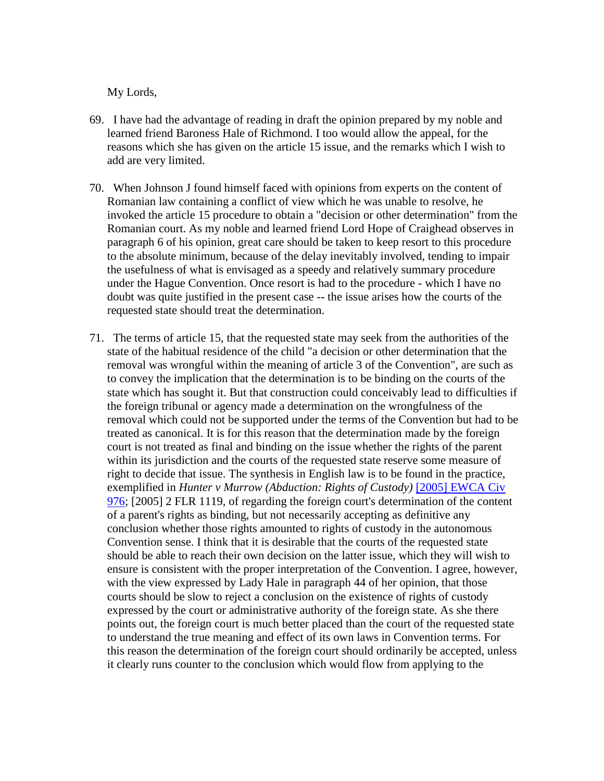My Lords,

- 69. I have had the advantage of reading in draft the opinion prepared by my noble and learned friend Baroness Hale of Richmond. I too would allow the appeal, for the reasons which she has given on the article 15 issue, and the remarks which I wish to add are very limited.
- 70. When Johnson J found himself faced with opinions from experts on the content of Romanian law containing a conflict of view which he was unable to resolve, he invoked the article 15 procedure to obtain a "decision or other determination" from the Romanian court. As my noble and learned friend Lord Hope of Craighead observes in paragraph 6 of his opinion, great care should be taken to keep resort to this procedure to the absolute minimum, because of the delay inevitably involved, tending to impair the usefulness of what is envisaged as a speedy and relatively summary procedure under the Hague Convention. Once resort is had to the procedure - which I have no doubt was quite justified in the present case -- the issue arises how the courts of the requested state should treat the determination.
- 71. The terms of article 15, that the requested state may seek from the authorities of the state of the habitual residence of the child "a decision or other determination that the removal was wrongful within the meaning of article 3 of the Convention", are such as to convey the implication that the determination is to be binding on the courts of the state which has sought it. But that construction could conceivably lead to difficulties if the foreign tribunal or agency made a determination on the wrongfulness of the removal which could not be supported under the terms of the Convention but had to be treated as canonical. It is for this reason that the determination made by the foreign court is not treated as final and binding on the issue whether the rights of the parent within its jurisdiction and the courts of the requested state reserve some measure of right to decide that issue. The synthesis in English law is to be found in the practice, exemplified in *Hunter v Murrow (Abduction: Rights of Custody)* [\[2005\] EWCA Civ](http://www.bailii.org/ew/cases/EWCA/Civ/2005/976.html)  [976;](http://www.bailii.org/ew/cases/EWCA/Civ/2005/976.html) [2005] 2 FLR 1119, of regarding the foreign court's determination of the content of a parent's rights as binding, but not necessarily accepting as definitive any conclusion whether those rights amounted to rights of custody in the autonomous Convention sense. I think that it is desirable that the courts of the requested state should be able to reach their own decision on the latter issue, which they will wish to ensure is consistent with the proper interpretation of the Convention. I agree, however, with the view expressed by Lady Hale in paragraph 44 of her opinion, that those courts should be slow to reject a conclusion on the existence of rights of custody expressed by the court or administrative authority of the foreign state. As she there points out, the foreign court is much better placed than the court of the requested state to understand the true meaning and effect of its own laws in Convention terms. For this reason the determination of the foreign court should ordinarily be accepted, unless it clearly runs counter to the conclusion which would flow from applying to the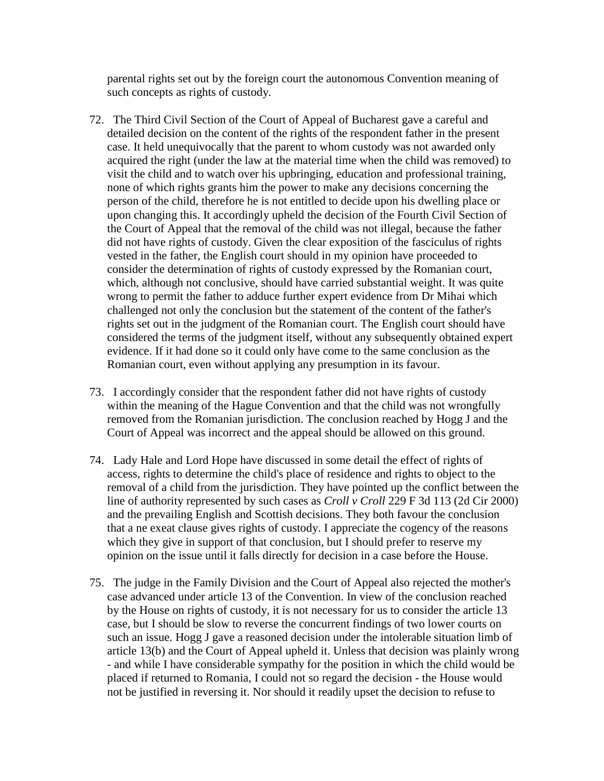parental rights set out by the foreign court the autonomous Convention meaning of such concepts as rights of custody.

- 72. The Third Civil Section of the Court of Appeal of Bucharest gave a careful and detailed decision on the content of the rights of the respondent father in the present case. It held unequivocally that the parent to whom custody was not awarded only acquired the right (under the law at the material time when the child was removed) to visit the child and to watch over his upbringing, education and professional training, none of which rights grants him the power to make any decisions concerning the person of the child, therefore he is not entitled to decide upon his dwelling place or upon changing this. It accordingly upheld the decision of the Fourth Civil Section of the Court of Appeal that the removal of the child was not illegal, because the father did not have rights of custody. Given the clear exposition of the fasciculus of rights vested in the father, the English court should in my opinion have proceeded to consider the determination of rights of custody expressed by the Romanian court, which, although not conclusive, should have carried substantial weight. It was quite wrong to permit the father to adduce further expert evidence from Dr Mihai which challenged not only the conclusion but the statement of the content of the father's rights set out in the judgment of the Romanian court. The English court should have considered the terms of the judgment itself, without any subsequently obtained expert evidence. If it had done so it could only have come to the same conclusion as the Romanian court, even without applying any presumption in its favour.
- 73. I accordingly consider that the respondent father did not have rights of custody within the meaning of the Hague Convention and that the child was not wrongfully removed from the Romanian jurisdiction. The conclusion reached by Hogg J and the Court of Appeal was incorrect and the appeal should be allowed on this ground.
- 74. Lady Hale and Lord Hope have discussed in some detail the effect of rights of access, rights to determine the child's place of residence and rights to object to the removal of a child from the jurisdiction. They have pointed up the conflict between the line of authority represented by such cases as *Croll v Croll* 229 F 3d 113 (2d Cir 2000) and the prevailing English and Scottish decisions. They both favour the conclusion that a ne exeat clause gives rights of custody. I appreciate the cogency of the reasons which they give in support of that conclusion, but I should prefer to reserve my opinion on the issue until it falls directly for decision in a case before the House.
- 75. The judge in the Family Division and the Court of Appeal also rejected the mother's case advanced under article 13 of the Convention. In view of the conclusion reached by the House on rights of custody, it is not necessary for us to consider the article 13 case, but I should be slow to reverse the concurrent findings of two lower courts on such an issue. Hogg J gave a reasoned decision under the intolerable situation limb of article 13(b) and the Court of Appeal upheld it. Unless that decision was plainly wrong - and while I have considerable sympathy for the position in which the child would be placed if returned to Romania, I could not so regard the decision - the House would not be justified in reversing it. Nor should it readily upset the decision to refuse to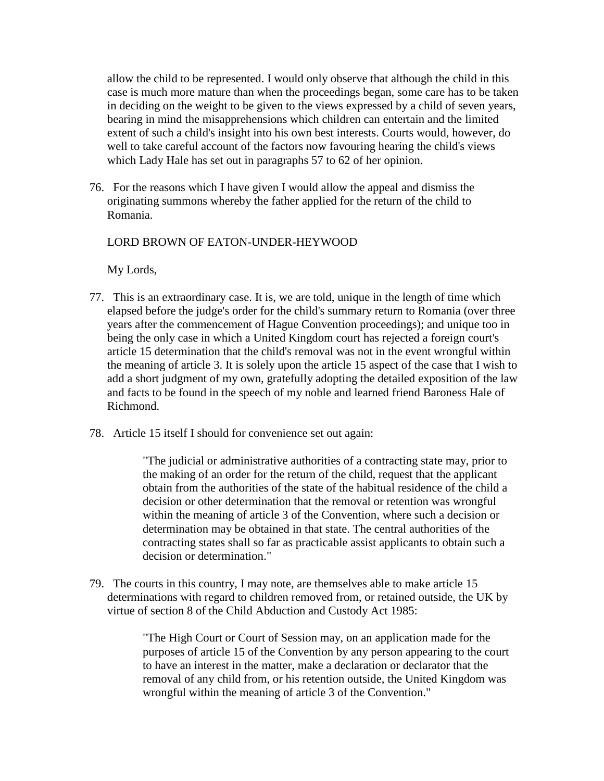allow the child to be represented. I would only observe that although the child in this case is much more mature than when the proceedings began, some care has to be taken in deciding on the weight to be given to the views expressed by a child of seven years, bearing in mind the misapprehensions which children can entertain and the limited extent of such a child's insight into his own best interests. Courts would, however, do well to take careful account of the factors now favouring hearing the child's views which Lady Hale has set out in paragraphs 57 to 62 of her opinion.

76. For the reasons which I have given I would allow the appeal and dismiss the originating summons whereby the father applied for the return of the child to Romania.

#### LORD BROWN OF EATON-UNDER-HEYWOOD

My Lords,

- 77. This is an extraordinary case. It is, we are told, unique in the length of time which elapsed before the judge's order for the child's summary return to Romania (over three years after the commencement of Hague Convention proceedings); and unique too in being the only case in which a United Kingdom court has rejected a foreign court's article 15 determination that the child's removal was not in the event wrongful within the meaning of article 3. It is solely upon the article 15 aspect of the case that I wish to add a short judgment of my own, gratefully adopting the detailed exposition of the law and facts to be found in the speech of my noble and learned friend Baroness Hale of Richmond.
- 78. Article 15 itself I should for convenience set out again:

"The judicial or administrative authorities of a contracting state may, prior to the making of an order for the return of the child, request that the applicant obtain from the authorities of the state of the habitual residence of the child a decision or other determination that the removal or retention was wrongful within the meaning of article 3 of the Convention, where such a decision or determination may be obtained in that state. The central authorities of the contracting states shall so far as practicable assist applicants to obtain such a decision or determination."

79. The courts in this country, I may note, are themselves able to make article 15 determinations with regard to children removed from, or retained outside, the UK by virtue of section 8 of the Child Abduction and Custody Act 1985:

> "The High Court or Court of Session may, on an application made for the purposes of article 15 of the Convention by any person appearing to the court to have an interest in the matter, make a declaration or declarator that the removal of any child from, or his retention outside, the United Kingdom was wrongful within the meaning of article 3 of the Convention."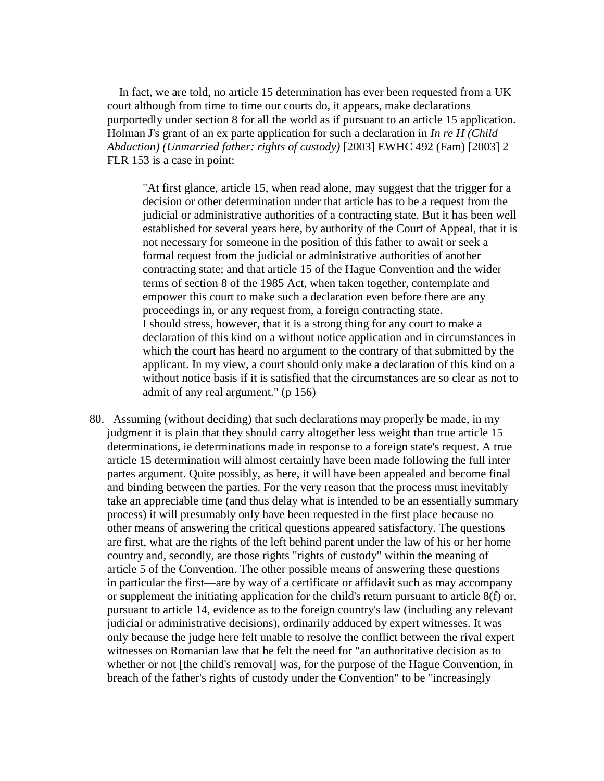In fact, we are told, no article 15 determination has ever been requested from a UK court although from time to time our courts do, it appears, make declarations purportedly under section 8 for all the world as if pursuant to an article 15 application. Holman J's grant of an ex parte application for such a declaration in *In re H (Child Abduction) (Unmarried father: rights of custody)* [2003] EWHC 492 (Fam) [2003] 2 FLR 153 is a case in point:

"At first glance, article 15, when read alone, may suggest that the trigger for a decision or other determination under that article has to be a request from the judicial or administrative authorities of a contracting state. But it has been well established for several years here, by authority of the Court of Appeal, that it is not necessary for someone in the position of this father to await or seek a formal request from the judicial or administrative authorities of another contracting state; and that article 15 of the Hague Convention and the wider terms of section 8 of the 1985 Act, when taken together, contemplate and empower this court to make such a declaration even before there are any proceedings in, or any request from, a foreign contracting state. I should stress, however, that it is a strong thing for any court to make a declaration of this kind on a without notice application and in circumstances in which the court has heard no argument to the contrary of that submitted by the applicant. In my view, a court should only make a declaration of this kind on a without notice basis if it is satisfied that the circumstances are so clear as not to admit of any real argument." (p 156)

80. Assuming (without deciding) that such declarations may properly be made, in my judgment it is plain that they should carry altogether less weight than true article 15 determinations, ie determinations made in response to a foreign state's request. A true article 15 determination will almost certainly have been made following the full inter partes argument. Quite possibly, as here, it will have been appealed and become final and binding between the parties. For the very reason that the process must inevitably take an appreciable time (and thus delay what is intended to be an essentially summary process) it will presumably only have been requested in the first place because no other means of answering the critical questions appeared satisfactory. The questions are first, what are the rights of the left behind parent under the law of his or her home country and, secondly, are those rights "rights of custody" within the meaning of article 5 of the Convention. The other possible means of answering these questions in particular the first—are by way of a certificate or affidavit such as may accompany or supplement the initiating application for the child's return pursuant to article 8(f) or, pursuant to article 14, evidence as to the foreign country's law (including any relevant judicial or administrative decisions), ordinarily adduced by expert witnesses. It was only because the judge here felt unable to resolve the conflict between the rival expert witnesses on Romanian law that he felt the need for "an authoritative decision as to whether or not [the child's removal] was, for the purpose of the Hague Convention, in breach of the father's rights of custody under the Convention" to be "increasingly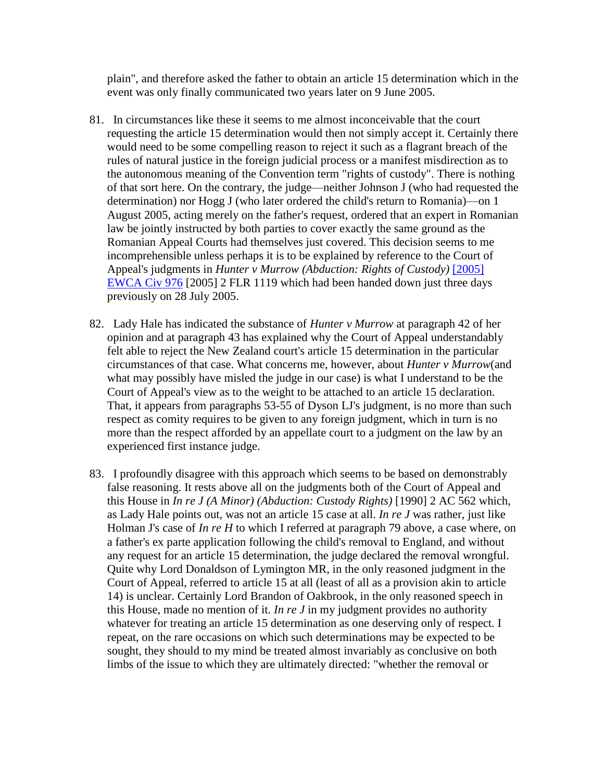plain", and therefore asked the father to obtain an article 15 determination which in the event was only finally communicated two years later on 9 June 2005.

- 81. In circumstances like these it seems to me almost inconceivable that the court requesting the article 15 determination would then not simply accept it. Certainly there would need to be some compelling reason to reject it such as a flagrant breach of the rules of natural justice in the foreign judicial process or a manifest misdirection as to the autonomous meaning of the Convention term "rights of custody". There is nothing of that sort here. On the contrary, the judge—neither Johnson J (who had requested the determination) nor Hogg J (who later ordered the child's return to Romania)—on 1 August 2005, acting merely on the father's request, ordered that an expert in Romanian law be jointly instructed by both parties to cover exactly the same ground as the Romanian Appeal Courts had themselves just covered. This decision seems to me incomprehensible unless perhaps it is to be explained by reference to the Court of Appeal's judgments in *Hunter v Murrow (Abduction: Rights of Custody)* [\[2005\]](http://www.bailii.org/ew/cases/EWCA/Civ/2005/976.html)  [EWCA Civ 976](http://www.bailii.org/ew/cases/EWCA/Civ/2005/976.html) [2005] 2 FLR 1119 which had been handed down just three days previously on 28 July 2005.
- 82. Lady Hale has indicated the substance of *Hunter v Murrow* at paragraph 42 of her opinion and at paragraph 43 has explained why the Court of Appeal understandably felt able to reject the New Zealand court's article 15 determination in the particular circumstances of that case. What concerns me, however, about *Hunter v Murrow*(and what may possibly have misled the judge in our case) is what I understand to be the Court of Appeal's view as to the weight to be attached to an article 15 declaration. That, it appears from paragraphs 53-55 of Dyson LJ's judgment, is no more than such respect as comity requires to be given to any foreign judgment, which in turn is no more than the respect afforded by an appellate court to a judgment on the law by an experienced first instance judge.
- 83. I profoundly disagree with this approach which seems to be based on demonstrably false reasoning. It rests above all on the judgments both of the Court of Appeal and this House in *In re J (A Minor) (Abduction: Custody Rights)* [1990] 2 AC 562 which, as Lady Hale points out, was not an article 15 case at all. *In re J* was rather, just like Holman J's case of *In re H* to which I referred at paragraph 79 above, a case where, on a father's ex parte application following the child's removal to England, and without any request for an article 15 determination, the judge declared the removal wrongful. Quite why Lord Donaldson of Lymington MR, in the only reasoned judgment in the Court of Appeal, referred to article 15 at all (least of all as a provision akin to article 14) is unclear. Certainly Lord Brandon of Oakbrook, in the only reasoned speech in this House, made no mention of it. *In re J* in my judgment provides no authority whatever for treating an article 15 determination as one deserving only of respect. I repeat, on the rare occasions on which such determinations may be expected to be sought, they should to my mind be treated almost invariably as conclusive on both limbs of the issue to which they are ultimately directed: "whether the removal or